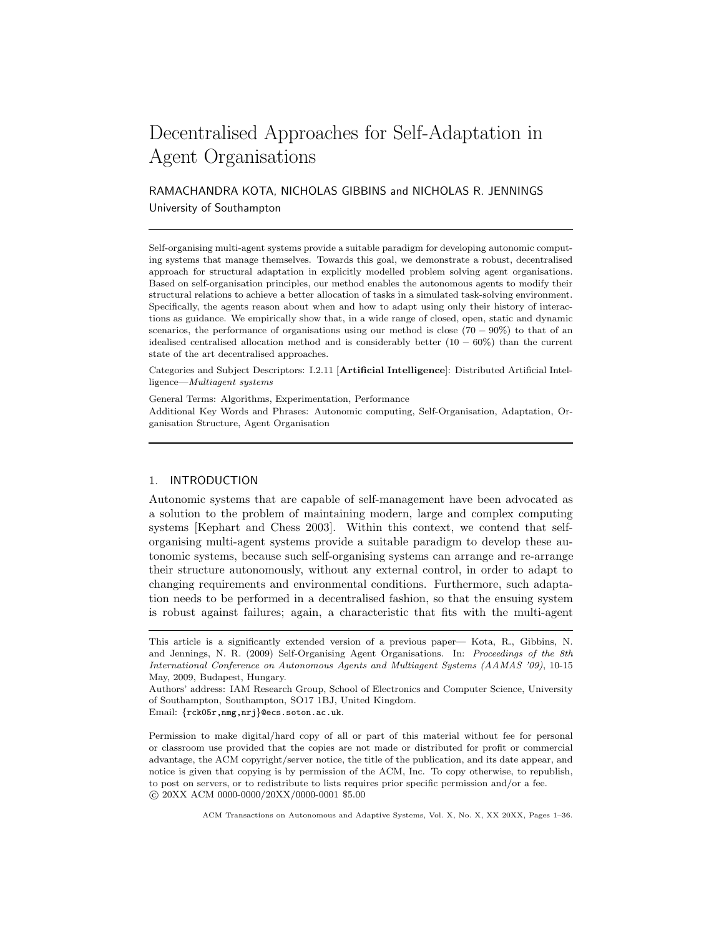# Decentralised Approaches for Self-Adaptation in Agent Organisations

RAMACHANDRA KOTA, NICHOLAS GIBBINS and NICHOLAS R. JENNINGS University of Southampton

Self-organising multi-agent systems provide a suitable paradigm for developing autonomic computing systems that manage themselves. Towards this goal, we demonstrate a robust, decentralised approach for structural adaptation in explicitly modelled problem solving agent organisations. Based on self-organisation principles, our method enables the autonomous agents to modify their structural relations to achieve a better allocation of tasks in a simulated task-solving environment. Specifically, the agents reason about when and how to adapt using only their history of interactions as guidance. We empirically show that, in a wide range of closed, open, static and dynamic scenarios, the performance of organisations using our method is close  $(70 - 90\%)$  to that of an idealised centralised allocation method and is considerably better  $(10 - 60\%)$  than the current state of the art decentralised approaches.

Categories and Subject Descriptors: I.2.11 [Artificial Intelligence]: Distributed Artificial Intelligence—*Multiagent systems*

General Terms: Algorithms, Experimentation, Performance Additional Key Words and Phrases: Autonomic computing, Self-Organisation, Adaptation, Organisation Structure, Agent Organisation

# 1. INTRODUCTION

Autonomic systems that are capable of self-management have been advocated as a solution to the problem of maintaining modern, large and complex computing systems [Kephart and Chess 2003]. Within this context, we contend that selforganising multi-agent systems provide a suitable paradigm to develop these autonomic systems, because such self-organising systems can arrange and re-arrange their structure autonomously, without any external control, in order to adapt to changing requirements and environmental conditions. Furthermore, such adaptation needs to be performed in a decentralised fashion, so that the ensuing system is robust against failures; again, a characteristic that fits with the multi-agent

Permission to make digital/hard copy of all or part of this material without fee for personal or classroom use provided that the copies are not made or distributed for profit or commercial advantage, the ACM copyright/server notice, the title of the publication, and its date appear, and notice is given that copying is by permission of the ACM, Inc. To copy otherwise, to republish, to post on servers, or to redistribute to lists requires prior specific permission and/or a fee. c 20XX ACM 0000-0000/20XX/0000-0001 \$5.00

This article is a significantly extended version of a previous paper— Kota, R., Gibbins, N. and Jennings, N. R. (2009) Self-Organising Agent Organisations. In: *Proceedings of the 8th International Conference on Autonomous Agents and Multiagent Systems (AAMAS '09)*, 10-15 May, 2009, Budapest, Hungary.

Authors' address: IAM Research Group, School of Electronics and Computer Science, University of Southampton, Southampton, SO17 1BJ, United Kingdom. Email: {rck05r,nmg,nrj}@ecs.soton.ac.uk.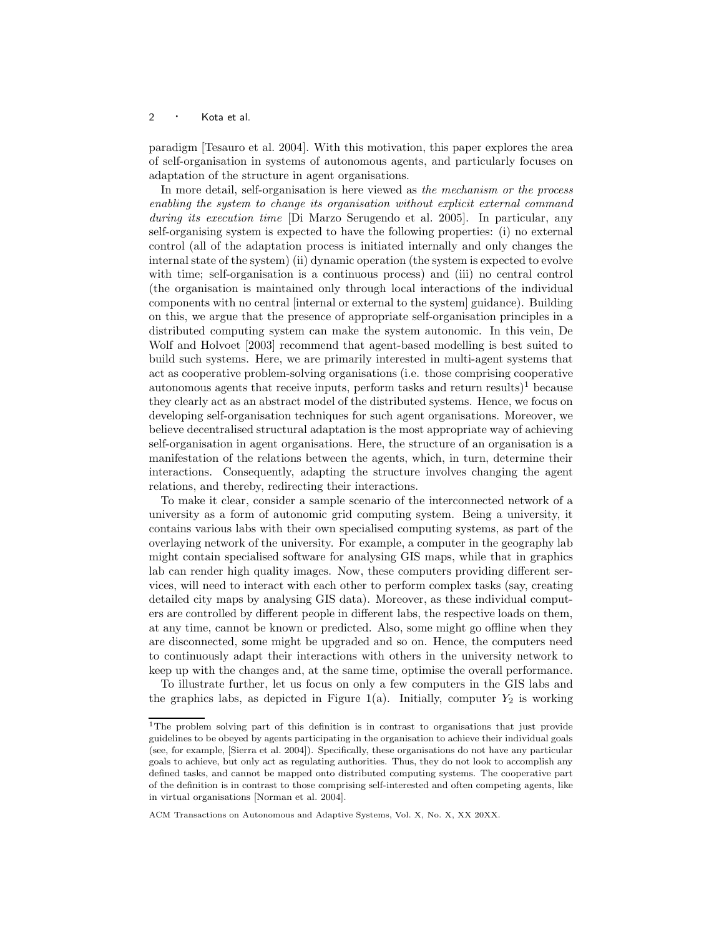paradigm [Tesauro et al. 2004]. With this motivation, this paper explores the area of self-organisation in systems of autonomous agents, and particularly focuses on adaptation of the structure in agent organisations.

In more detail, self-organisation is here viewed as the mechanism or the process enabling the system to change its organisation without explicit external command during its execution time [Di Marzo Serugendo et al. 2005]. In particular, any self-organising system is expected to have the following properties: (i) no external control (all of the adaptation process is initiated internally and only changes the internal state of the system) (ii) dynamic operation (the system is expected to evolve with time; self-organisation is a continuous process) and (iii) no central control (the organisation is maintained only through local interactions of the individual components with no central [internal or external to the system] guidance). Building on this, we argue that the presence of appropriate self-organisation principles in a distributed computing system can make the system autonomic. In this vein, De Wolf and Holvoet [2003] recommend that agent-based modelling is best suited to build such systems. Here, we are primarily interested in multi-agent systems that act as cooperative problem-solving organisations (i.e. those comprising cooperative autonomous agents that receive inputs, perform tasks and return results)<sup>1</sup> because they clearly act as an abstract model of the distributed systems. Hence, we focus on developing self-organisation techniques for such agent organisations. Moreover, we believe decentralised structural adaptation is the most appropriate way of achieving self-organisation in agent organisations. Here, the structure of an organisation is a manifestation of the relations between the agents, which, in turn, determine their interactions. Consequently, adapting the structure involves changing the agent relations, and thereby, redirecting their interactions.

To make it clear, consider a sample scenario of the interconnected network of a university as a form of autonomic grid computing system. Being a university, it contains various labs with their own specialised computing systems, as part of the overlaying network of the university. For example, a computer in the geography lab might contain specialised software for analysing GIS maps, while that in graphics lab can render high quality images. Now, these computers providing different services, will need to interact with each other to perform complex tasks (say, creating detailed city maps by analysing GIS data). Moreover, as these individual computers are controlled by different people in different labs, the respective loads on them, at any time, cannot be known or predicted. Also, some might go offline when they are disconnected, some might be upgraded and so on. Hence, the computers need to continuously adapt their interactions with others in the university network to keep up with the changes and, at the same time, optimise the overall performance.

To illustrate further, let us focus on only a few computers in the GIS labs and the graphics labs, as depicted in Figure 1(a). Initially, computer  $Y_2$  is working

<sup>1</sup>The problem solving part of this definition is in contrast to organisations that just provide guidelines to be obeyed by agents participating in the organisation to achieve their individual goals (see, for example, [Sierra et al. 2004]). Specifically, these organisations do not have any particular goals to achieve, but only act as regulating authorities. Thus, they do not look to accomplish any defined tasks, and cannot be mapped onto distributed computing systems. The cooperative part of the definition is in contrast to those comprising self-interested and often competing agents, like in virtual organisations [Norman et al. 2004].

ACM Transactions on Autonomous and Adaptive Systems, Vol. X, No. X, XX 20XX.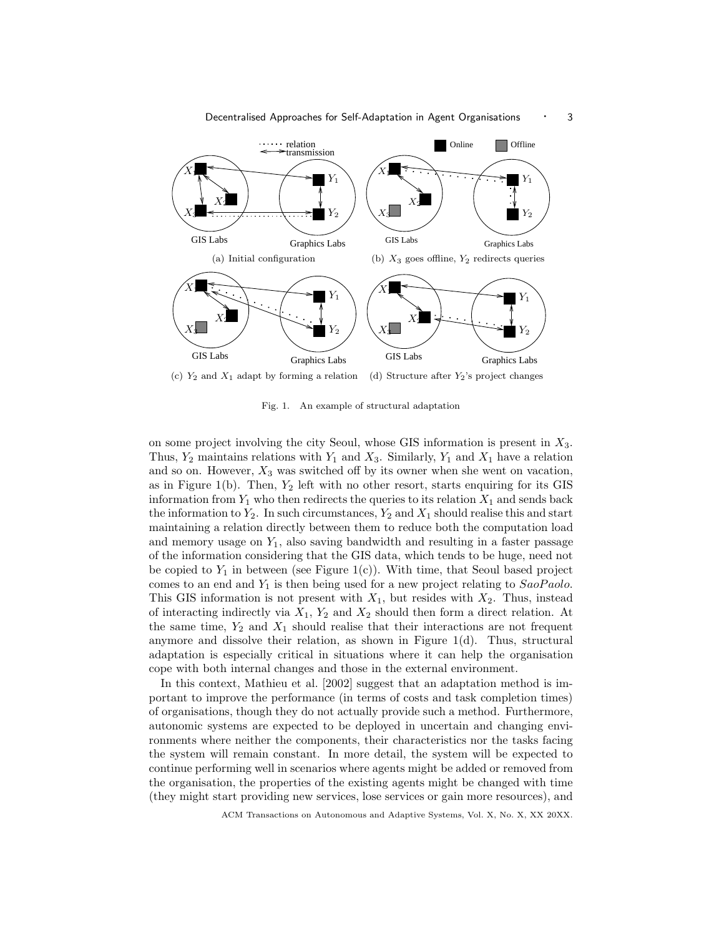

(c)  $Y_2$  and  $X_1$  adapt by forming a relation (d) Structure after  $Y_2$ 's project changes

Fig. 1. An example of structural adaptation

on some project involving the city Seoul, whose GIS information is present in  $X_3$ . Thus,  $Y_2$  maintains relations with  $Y_1$  and  $X_3$ . Similarly,  $Y_1$  and  $X_1$  have a relation and so on. However,  $X_3$  was switched off by its owner when she went on vacation, as in Figure 1(b). Then,  $Y_2$  left with no other resort, starts enquiring for its GIS information from  $Y_1$  who then redirects the queries to its relation  $X_1$  and sends back the information to  $Y_2$ . In such circumstances,  $Y_2$  and  $X_1$  should realise this and start maintaining a relation directly between them to reduce both the computation load and memory usage on  $Y_1$ , also saving bandwidth and resulting in a faster passage of the information considering that the GIS data, which tends to be huge, need not be copied to  $Y_1$  in between (see Figure 1(c)). With time, that Seoul based project comes to an end and  $Y_1$  is then being used for a new project relating to  $SaoPaolo$ . This GIS information is not present with  $X_1$ , but resides with  $X_2$ . Thus, instead of interacting indirectly via  $X_1, Y_2$  and  $X_2$  should then form a direct relation. At the same time,  $Y_2$  and  $X_1$  should realise that their interactions are not frequent anymore and dissolve their relation, as shown in Figure 1(d). Thus, structural adaptation is especially critical in situations where it can help the organisation cope with both internal changes and those in the external environment.

In this context, Mathieu et al. [2002] suggest that an adaptation method is important to improve the performance (in terms of costs and task completion times) of organisations, though they do not actually provide such a method. Furthermore, autonomic systems are expected to be deployed in uncertain and changing environments where neither the components, their characteristics nor the tasks facing the system will remain constant. In more detail, the system will be expected to continue performing well in scenarios where agents might be added or removed from the organisation, the properties of the existing agents might be changed with time (they might start providing new services, lose services or gain more resources), and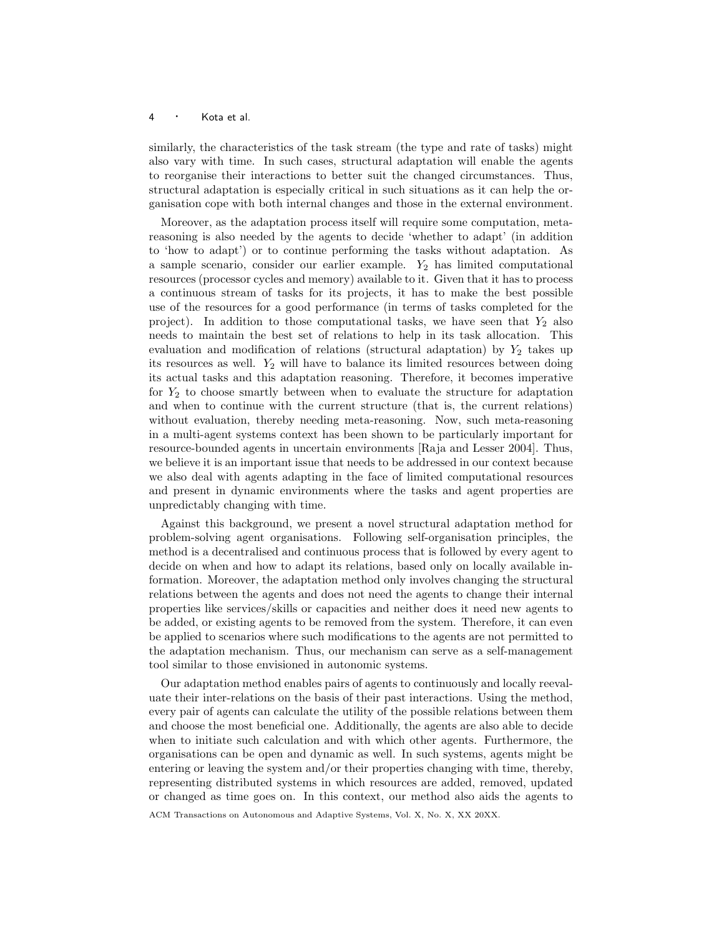similarly, the characteristics of the task stream (the type and rate of tasks) might also vary with time. In such cases, structural adaptation will enable the agents to reorganise their interactions to better suit the changed circumstances. Thus, structural adaptation is especially critical in such situations as it can help the organisation cope with both internal changes and those in the external environment.

Moreover, as the adaptation process itself will require some computation, metareasoning is also needed by the agents to decide 'whether to adapt' (in addition to 'how to adapt') or to continue performing the tasks without adaptation. As a sample scenario, consider our earlier example.  $Y_2$  has limited computational resources (processor cycles and memory) available to it. Given that it has to process a continuous stream of tasks for its projects, it has to make the best possible use of the resources for a good performance (in terms of tasks completed for the project). In addition to those computational tasks, we have seen that  $Y_2$  also needs to maintain the best set of relations to help in its task allocation. This evaluation and modification of relations (structural adaptation) by  $Y_2$  takes up its resources as well.  $Y_2$  will have to balance its limited resources between doing its actual tasks and this adaptation reasoning. Therefore, it becomes imperative for  $Y_2$  to choose smartly between when to evaluate the structure for adaptation and when to continue with the current structure (that is, the current relations) without evaluation, thereby needing meta-reasoning. Now, such meta-reasoning in a multi-agent systems context has been shown to be particularly important for resource-bounded agents in uncertain environments [Raja and Lesser 2004]. Thus, we believe it is an important issue that needs to be addressed in our context because we also deal with agents adapting in the face of limited computational resources and present in dynamic environments where the tasks and agent properties are unpredictably changing with time.

Against this background, we present a novel structural adaptation method for problem-solving agent organisations. Following self-organisation principles, the method is a decentralised and continuous process that is followed by every agent to decide on when and how to adapt its relations, based only on locally available information. Moreover, the adaptation method only involves changing the structural relations between the agents and does not need the agents to change their internal properties like services/skills or capacities and neither does it need new agents to be added, or existing agents to be removed from the system. Therefore, it can even be applied to scenarios where such modifications to the agents are not permitted to the adaptation mechanism. Thus, our mechanism can serve as a self-management tool similar to those envisioned in autonomic systems.

Our adaptation method enables pairs of agents to continuously and locally reevaluate their inter-relations on the basis of their past interactions. Using the method, every pair of agents can calculate the utility of the possible relations between them and choose the most beneficial one. Additionally, the agents are also able to decide when to initiate such calculation and with which other agents. Furthermore, the organisations can be open and dynamic as well. In such systems, agents might be entering or leaving the system and/or their properties changing with time, thereby, representing distributed systems in which resources are added, removed, updated or changed as time goes on. In this context, our method also aids the agents to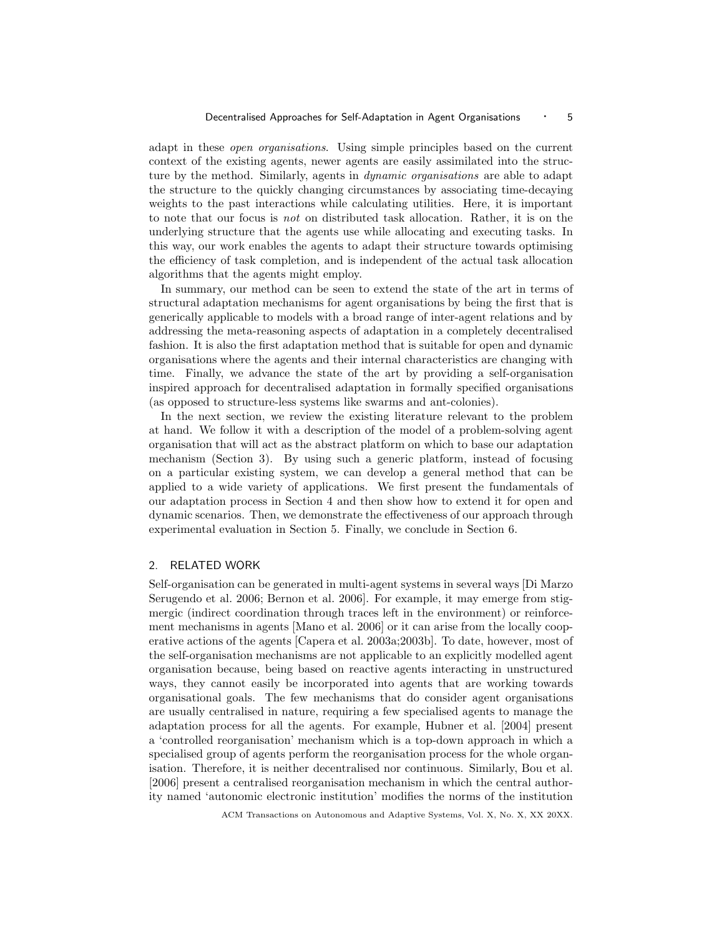adapt in these open organisations. Using simple principles based on the current context of the existing agents, newer agents are easily assimilated into the structure by the method. Similarly, agents in *dynamic organisations* are able to adapt the structure to the quickly changing circumstances by associating time-decaying weights to the past interactions while calculating utilities. Here, it is important to note that our focus is not on distributed task allocation. Rather, it is on the underlying structure that the agents use while allocating and executing tasks. In this way, our work enables the agents to adapt their structure towards optimising the efficiency of task completion, and is independent of the actual task allocation algorithms that the agents might employ.

In summary, our method can be seen to extend the state of the art in terms of structural adaptation mechanisms for agent organisations by being the first that is generically applicable to models with a broad range of inter-agent relations and by addressing the meta-reasoning aspects of adaptation in a completely decentralised fashion. It is also the first adaptation method that is suitable for open and dynamic organisations where the agents and their internal characteristics are changing with time. Finally, we advance the state of the art by providing a self-organisation inspired approach for decentralised adaptation in formally specified organisations (as opposed to structure-less systems like swarms and ant-colonies).

In the next section, we review the existing literature relevant to the problem at hand. We follow it with a description of the model of a problem-solving agent organisation that will act as the abstract platform on which to base our adaptation mechanism (Section 3). By using such a generic platform, instead of focusing on a particular existing system, we can develop a general method that can be applied to a wide variety of applications. We first present the fundamentals of our adaptation process in Section 4 and then show how to extend it for open and dynamic scenarios. Then, we demonstrate the effectiveness of our approach through experimental evaluation in Section 5. Finally, we conclude in Section 6.

# 2. RELATED WORK

Self-organisation can be generated in multi-agent systems in several ways [Di Marzo Serugendo et al. 2006; Bernon et al. 2006]. For example, it may emerge from stigmergic (indirect coordination through traces left in the environment) or reinforcement mechanisms in agents [Mano et al. 2006] or it can arise from the locally cooperative actions of the agents [Capera et al. 2003a;2003b]. To date, however, most of the self-organisation mechanisms are not applicable to an explicitly modelled agent organisation because, being based on reactive agents interacting in unstructured ways, they cannot easily be incorporated into agents that are working towards organisational goals. The few mechanisms that do consider agent organisations are usually centralised in nature, requiring a few specialised agents to manage the adaptation process for all the agents. For example, Hubner et al. [2004] present a 'controlled reorganisation' mechanism which is a top-down approach in which a specialised group of agents perform the reorganisation process for the whole organisation. Therefore, it is neither decentralised nor continuous. Similarly, Bou et al. [2006] present a centralised reorganisation mechanism in which the central authority named 'autonomic electronic institution' modifies the norms of the institution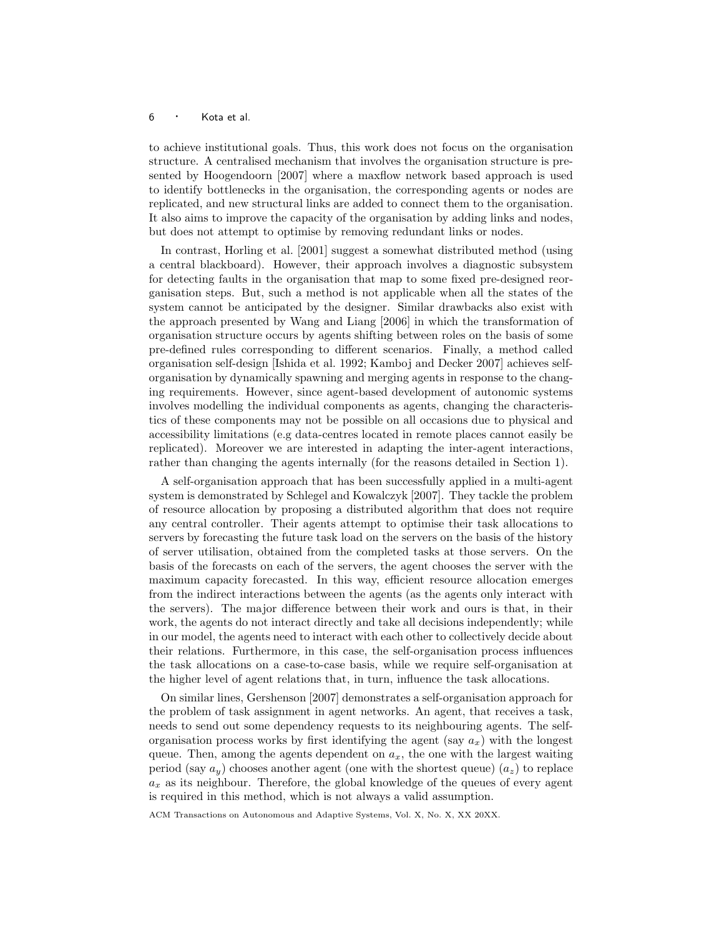to achieve institutional goals. Thus, this work does not focus on the organisation structure. A centralised mechanism that involves the organisation structure is presented by Hoogendoorn [2007] where a maxflow network based approach is used to identify bottlenecks in the organisation, the corresponding agents or nodes are replicated, and new structural links are added to connect them to the organisation. It also aims to improve the capacity of the organisation by adding links and nodes, but does not attempt to optimise by removing redundant links or nodes.

In contrast, Horling et al. [2001] suggest a somewhat distributed method (using a central blackboard). However, their approach involves a diagnostic subsystem for detecting faults in the organisation that map to some fixed pre-designed reorganisation steps. But, such a method is not applicable when all the states of the system cannot be anticipated by the designer. Similar drawbacks also exist with the approach presented by Wang and Liang [2006] in which the transformation of organisation structure occurs by agents shifting between roles on the basis of some pre-defined rules corresponding to different scenarios. Finally, a method called organisation self-design [Ishida et al. 1992; Kamboj and Decker 2007] achieves selforganisation by dynamically spawning and merging agents in response to the changing requirements. However, since agent-based development of autonomic systems involves modelling the individual components as agents, changing the characteristics of these components may not be possible on all occasions due to physical and accessibility limitations (e.g data-centres located in remote places cannot easily be replicated). Moreover we are interested in adapting the inter-agent interactions, rather than changing the agents internally (for the reasons detailed in Section 1).

A self-organisation approach that has been successfully applied in a multi-agent system is demonstrated by Schlegel and Kowalczyk [2007]. They tackle the problem of resource allocation by proposing a distributed algorithm that does not require any central controller. Their agents attempt to optimise their task allocations to servers by forecasting the future task load on the servers on the basis of the history of server utilisation, obtained from the completed tasks at those servers. On the basis of the forecasts on each of the servers, the agent chooses the server with the maximum capacity forecasted. In this way, efficient resource allocation emerges from the indirect interactions between the agents (as the agents only interact with the servers). The major difference between their work and ours is that, in their work, the agents do not interact directly and take all decisions independently; while in our model, the agents need to interact with each other to collectively decide about their relations. Furthermore, in this case, the self-organisation process influences the task allocations on a case-to-case basis, while we require self-organisation at the higher level of agent relations that, in turn, influence the task allocations.

On similar lines, Gershenson [2007] demonstrates a self-organisation approach for the problem of task assignment in agent networks. An agent, that receives a task, needs to send out some dependency requests to its neighbouring agents. The selforganisation process works by first identifying the agent (say  $a_x$ ) with the longest queue. Then, among the agents dependent on  $a_x$ , the one with the largest waiting period (say  $a_y$ ) chooses another agent (one with the shortest queue)  $(a_z)$  to replace  $a_x$  as its neighbour. Therefore, the global knowledge of the queues of every agent is required in this method, which is not always a valid assumption.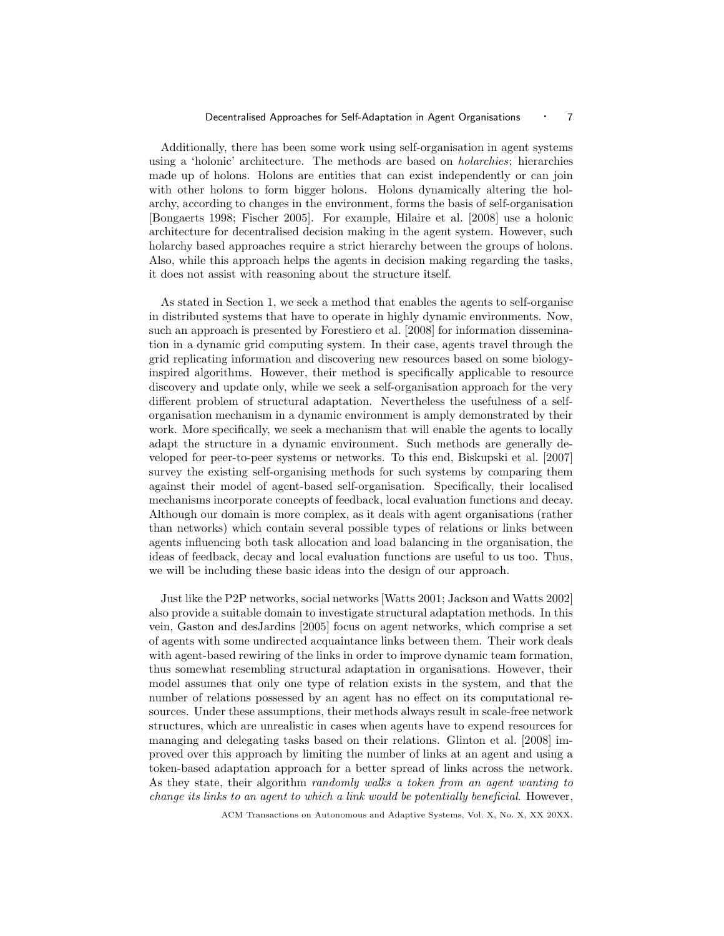#### Decentralised Approaches for Self-Adaptation in Agent Organisations • 7

Additionally, there has been some work using self-organisation in agent systems using a 'holonic' architecture. The methods are based on holarchies; hierarchies made up of holons. Holons are entities that can exist independently or can join with other holons to form bigger holons. Holons dynamically altering the holarchy, according to changes in the environment, forms the basis of self-organisation [Bongaerts 1998; Fischer 2005]. For example, Hilaire et al. [2008] use a holonic architecture for decentralised decision making in the agent system. However, such holarchy based approaches require a strict hierarchy between the groups of holons. Also, while this approach helps the agents in decision making regarding the tasks, it does not assist with reasoning about the structure itself.

As stated in Section 1, we seek a method that enables the agents to self-organise in distributed systems that have to operate in highly dynamic environments. Now, such an approach is presented by Forestiero et al. [2008] for information dissemination in a dynamic grid computing system. In their case, agents travel through the grid replicating information and discovering new resources based on some biologyinspired algorithms. However, their method is specifically applicable to resource discovery and update only, while we seek a self-organisation approach for the very different problem of structural adaptation. Nevertheless the usefulness of a selforganisation mechanism in a dynamic environment is amply demonstrated by their work. More specifically, we seek a mechanism that will enable the agents to locally adapt the structure in a dynamic environment. Such methods are generally developed for peer-to-peer systems or networks. To this end, Biskupski et al. [2007] survey the existing self-organising methods for such systems by comparing them against their model of agent-based self-organisation. Specifically, their localised mechanisms incorporate concepts of feedback, local evaluation functions and decay. Although our domain is more complex, as it deals with agent organisations (rather than networks) which contain several possible types of relations or links between agents influencing both task allocation and load balancing in the organisation, the ideas of feedback, decay and local evaluation functions are useful to us too. Thus, we will be including these basic ideas into the design of our approach.

Just like the P2P networks, social networks [Watts 2001; Jackson and Watts 2002] also provide a suitable domain to investigate structural adaptation methods. In this vein, Gaston and desJardins [2005] focus on agent networks, which comprise a set of agents with some undirected acquaintance links between them. Their work deals with agent-based rewiring of the links in order to improve dynamic team formation, thus somewhat resembling structural adaptation in organisations. However, their model assumes that only one type of relation exists in the system, and that the number of relations possessed by an agent has no effect on its computational resources. Under these assumptions, their methods always result in scale-free network structures, which are unrealistic in cases when agents have to expend resources for managing and delegating tasks based on their relations. Glinton et al. [2008] improved over this approach by limiting the number of links at an agent and using a token-based adaptation approach for a better spread of links across the network. As they state, their algorithm randomly walks a token from an agent wanting to change its links to an agent to which a link would be potentially beneficial. However,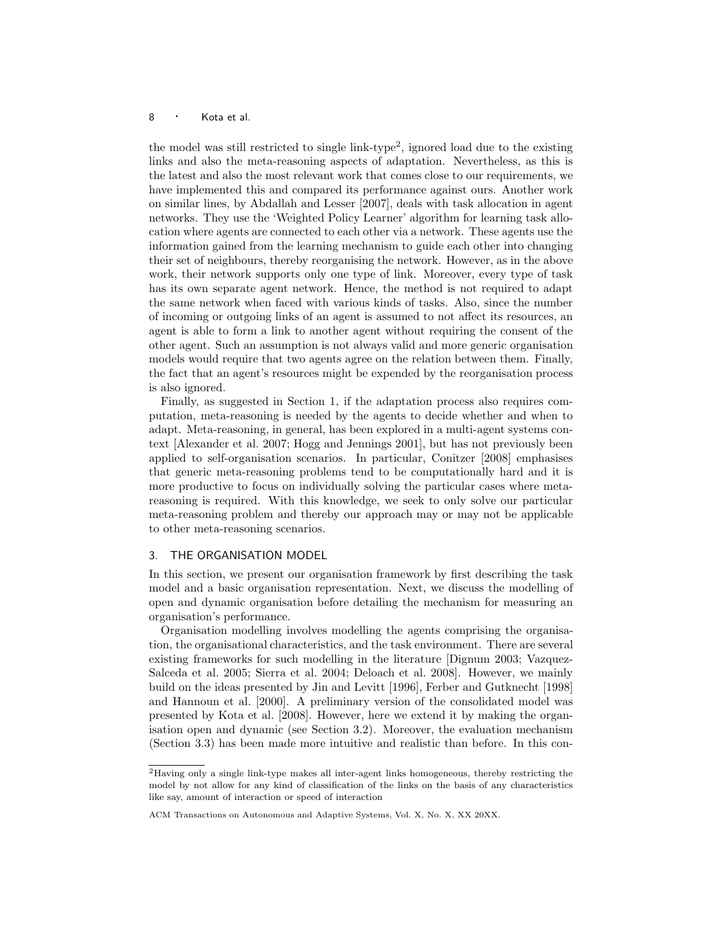the model was still restricted to single link-type<sup>2</sup>, ignored load due to the existing links and also the meta-reasoning aspects of adaptation. Nevertheless, as this is the latest and also the most relevant work that comes close to our requirements, we have implemented this and compared its performance against ours. Another work on similar lines, by Abdallah and Lesser [2007], deals with task allocation in agent networks. They use the 'Weighted Policy Learner' algorithm for learning task allocation where agents are connected to each other via a network. These agents use the information gained from the learning mechanism to guide each other into changing their set of neighbours, thereby reorganising the network. However, as in the above work, their network supports only one type of link. Moreover, every type of task has its own separate agent network. Hence, the method is not required to adapt the same network when faced with various kinds of tasks. Also, since the number of incoming or outgoing links of an agent is assumed to not affect its resources, an agent is able to form a link to another agent without requiring the consent of the other agent. Such an assumption is not always valid and more generic organisation models would require that two agents agree on the relation between them. Finally, the fact that an agent's resources might be expended by the reorganisation process is also ignored.

Finally, as suggested in Section 1, if the adaptation process also requires computation, meta-reasoning is needed by the agents to decide whether and when to adapt. Meta-reasoning, in general, has been explored in a multi-agent systems context [Alexander et al. 2007; Hogg and Jennings 2001], but has not previously been applied to self-organisation scenarios. In particular, Conitzer [2008] emphasises that generic meta-reasoning problems tend to be computationally hard and it is more productive to focus on individually solving the particular cases where metareasoning is required. With this knowledge, we seek to only solve our particular meta-reasoning problem and thereby our approach may or may not be applicable to other meta-reasoning scenarios.

#### 3. THE ORGANISATION MODEL

In this section, we present our organisation framework by first describing the task model and a basic organisation representation. Next, we discuss the modelling of open and dynamic organisation before detailing the mechanism for measuring an organisation's performance.

Organisation modelling involves modelling the agents comprising the organisation, the organisational characteristics, and the task environment. There are several existing frameworks for such modelling in the literature [Dignum 2003; Vazquez-Salceda et al. 2005; Sierra et al. 2004; Deloach et al. 2008]. However, we mainly build on the ideas presented by Jin and Levitt [1996], Ferber and Gutknecht [1998] and Hannoun et al. [2000]. A preliminary version of the consolidated model was presented by Kota et al. [2008]. However, here we extend it by making the organisation open and dynamic (see Section 3.2). Moreover, the evaluation mechanism (Section 3.3) has been made more intuitive and realistic than before. In this con-

<sup>2</sup>Having only a single link-type makes all inter-agent links homogeneous, thereby restricting the model by not allow for any kind of classification of the links on the basis of any characteristics like say, amount of interaction or speed of interaction

ACM Transactions on Autonomous and Adaptive Systems, Vol. X, No. X, XX 20XX.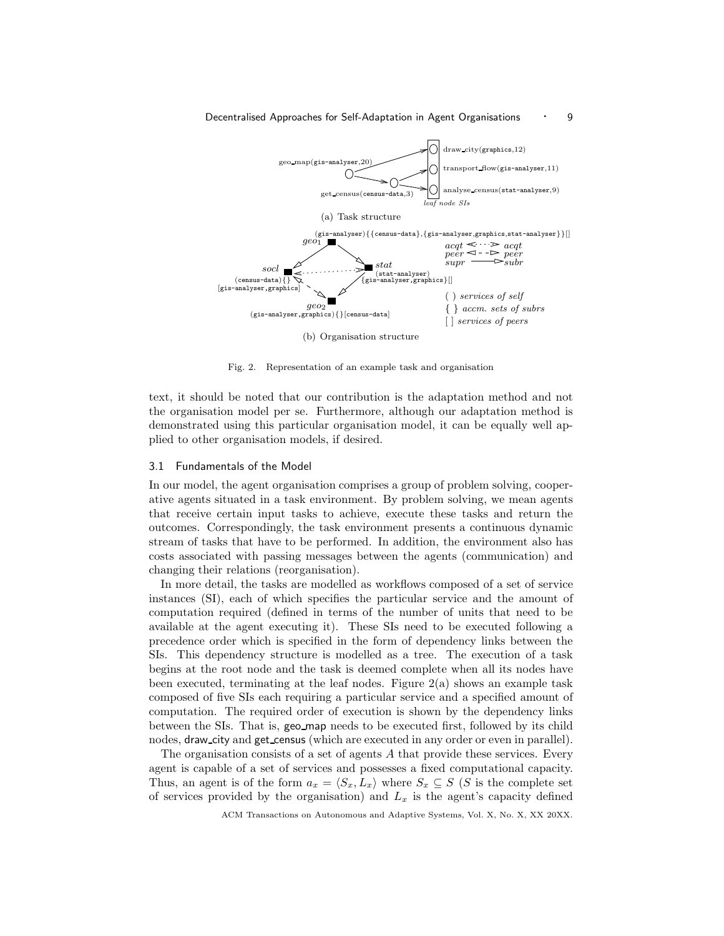

Fig. 2. Representation of an example task and organisation

text, it should be noted that our contribution is the adaptation method and not the organisation model per se. Furthermore, although our adaptation method is demonstrated using this particular organisation model, it can be equally well applied to other organisation models, if desired.

#### 3.1 Fundamentals of the Model

In our model, the agent organisation comprises a group of problem solving, cooperative agents situated in a task environment. By problem solving, we mean agents that receive certain input tasks to achieve, execute these tasks and return the outcomes. Correspondingly, the task environment presents a continuous dynamic stream of tasks that have to be performed. In addition, the environment also has costs associated with passing messages between the agents (communication) and changing their relations (reorganisation).

In more detail, the tasks are modelled as workflows composed of a set of service instances (SI), each of which specifies the particular service and the amount of computation required (defined in terms of the number of units that need to be available at the agent executing it). These SIs need to be executed following a precedence order which is specified in the form of dependency links between the SIs. This dependency structure is modelled as a tree. The execution of a task begins at the root node and the task is deemed complete when all its nodes have been executed, terminating at the leaf nodes. Figure 2(a) shows an example task composed of five SIs each requiring a particular service and a specified amount of computation. The required order of execution is shown by the dependency links between the SIs. That is, geo map needs to be executed first, followed by its child nodes, draw city and get census (which are executed in any order or even in parallel).

The organisation consists of a set of agents A that provide these services. Every agent is capable of a set of services and possesses a fixed computational capacity. Thus, an agent is of the form  $a_x = \langle S_x, L_x \rangle$  where  $S_x \subseteq S$  (S is the complete set of services provided by the organisation) and  $L<sub>x</sub>$  is the agent's capacity defined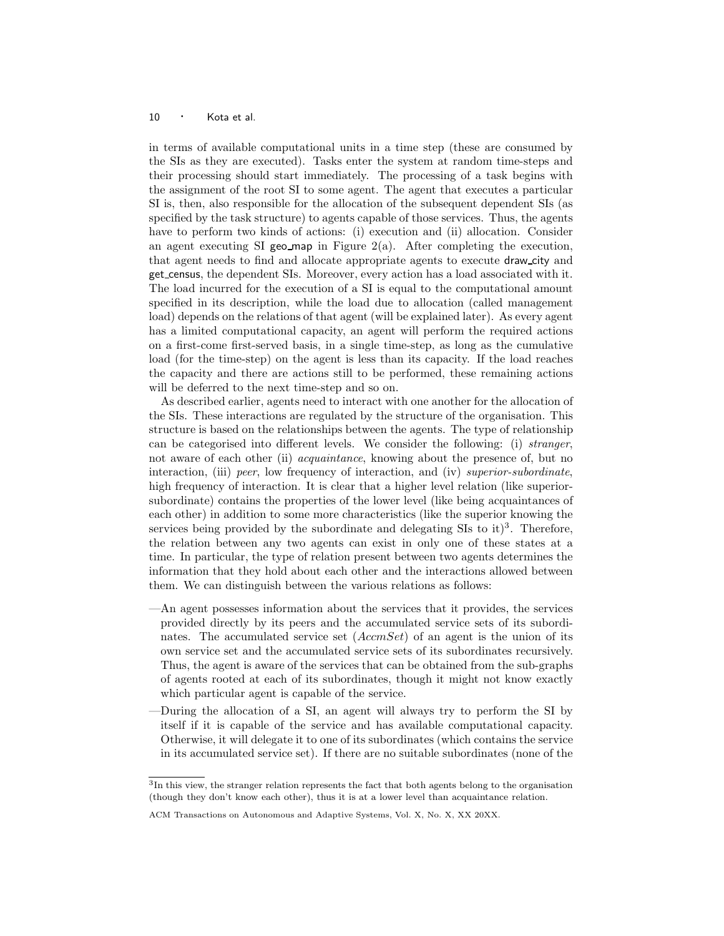in terms of available computational units in a time step (these are consumed by the SIs as they are executed). Tasks enter the system at random time-steps and their processing should start immediately. The processing of a task begins with the assignment of the root SI to some agent. The agent that executes a particular SI is, then, also responsible for the allocation of the subsequent dependent SIs (as specified by the task structure) to agents capable of those services. Thus, the agents have to perform two kinds of actions: (i) execution and (ii) allocation. Consider an agent executing SI geo\_map in Figure  $2(a)$ . After completing the execution, that agent needs to find and allocate appropriate agents to execute draw city and get census, the dependent SIs. Moreover, every action has a load associated with it. The load incurred for the execution of a SI is equal to the computational amount specified in its description, while the load due to allocation (called management load) depends on the relations of that agent (will be explained later). As every agent has a limited computational capacity, an agent will perform the required actions on a first-come first-served basis, in a single time-step, as long as the cumulative load (for the time-step) on the agent is less than its capacity. If the load reaches the capacity and there are actions still to be performed, these remaining actions will be deferred to the next time-step and so on.

As described earlier, agents need to interact with one another for the allocation of the SIs. These interactions are regulated by the structure of the organisation. This structure is based on the relationships between the agents. The type of relationship can be categorised into different levels. We consider the following: (i) stranger, not aware of each other (ii) *acquaintance*, knowing about the presence of, but no interaction, (iii) peer, low frequency of interaction, and (iv) superior-subordinate, high frequency of interaction. It is clear that a higher level relation (like superiorsubordinate) contains the properties of the lower level (like being acquaintances of each other) in addition to some more characteristics (like the superior knowing the services being provided by the subordinate and delegating  $SIs$  to it)<sup>3</sup>. Therefore, the relation between any two agents can exist in only one of these states at a time. In particular, the type of relation present between two agents determines the information that they hold about each other and the interactions allowed between them. We can distinguish between the various relations as follows:

- —An agent possesses information about the services that it provides, the services provided directly by its peers and the accumulated service sets of its subordinates. The accumulated service set (*AccmSet*) of an agent is the union of its own service set and the accumulated service sets of its subordinates recursively. Thus, the agent is aware of the services that can be obtained from the sub-graphs of agents rooted at each of its subordinates, though it might not know exactly which particular agent is capable of the service.
- —During the allocation of a SI, an agent will always try to perform the SI by itself if it is capable of the service and has available computational capacity. Otherwise, it will delegate it to one of its subordinates (which contains the service in its accumulated service set). If there are no suitable subordinates (none of the

<sup>3</sup> In this view, the stranger relation represents the fact that both agents belong to the organisation (though they don't know each other), thus it is at a lower level than acquaintance relation.

ACM Transactions on Autonomous and Adaptive Systems, Vol. X, No. X, XX 20XX.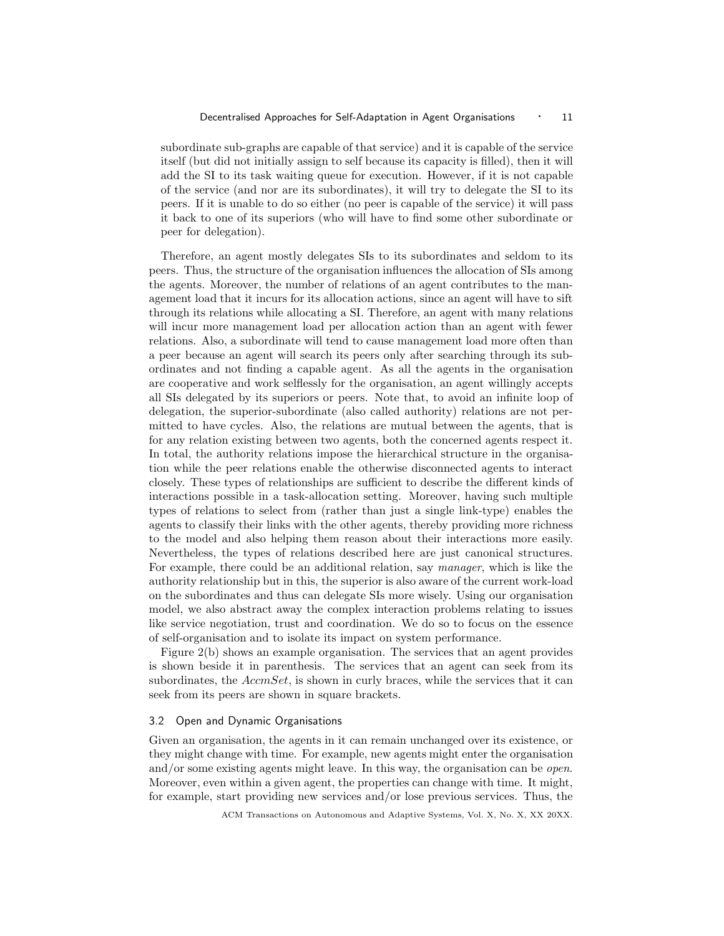subordinate sub-graphs are capable of that service) and it is capable of the service itself (but did not initially assign to self because its capacity is filled), then it will add the SI to its task waiting queue for execution. However, if it is not capable of the service (and nor are its subordinates), it will try to delegate the SI to its peers. If it is unable to do so either (no peer is capable of the service) it will pass it back to one of its superiors (who will have to find some other subordinate or peer for delegation).

Therefore, an agent mostly delegates SIs to its subordinates and seldom to its peers. Thus, the structure of the organisation influences the allocation of SIs among the agents. Moreover, the number of relations of an agent contributes to the management load that it incurs for its allocation actions, since an agent will have to sift through its relations while allocating a SI. Therefore, an agent with many relations will incur more management load per allocation action than an agent with fewer relations. Also, a subordinate will tend to cause management load more often than a peer because an agent will search its peers only after searching through its subordinates and not finding a capable agent. As all the agents in the organisation are cooperative and work selflessly for the organisation, an agent willingly accepts all SIs delegated by its superiors or peers. Note that, to avoid an infinite loop of delegation, the superior-subordinate (also called authority) relations are not permitted to have cycles. Also, the relations are mutual between the agents, that is for any relation existing between two agents, both the concerned agents respect it. In total, the authority relations impose the hierarchical structure in the organisation while the peer relations enable the otherwise disconnected agents to interact closely. These types of relationships are sufficient to describe the different kinds of interactions possible in a task-allocation setting. Moreover, having such multiple types of relations to select from (rather than just a single link-type) enables the agents to classify their links with the other agents, thereby providing more richness to the model and also helping them reason about their interactions more easily. Nevertheless, the types of relations described here are just canonical structures. For example, there could be an additional relation, say manager, which is like the authority relationship but in this, the superior is also aware of the current work-load on the subordinates and thus can delegate SIs more wisely. Using our organisation model, we also abstract away the complex interaction problems relating to issues like service negotiation, trust and coordination. We do so to focus on the essence of self-organisation and to isolate its impact on system performance.

Figure 2(b) shows an example organisation. The services that an agent provides is shown beside it in parenthesis. The services that an agent can seek from its subordinates, the  $AccmSet$ , is shown in curly braces, while the services that it can seek from its peers are shown in square brackets.

## 3.2 Open and Dynamic Organisations

Given an organisation, the agents in it can remain unchanged over its existence, or they might change with time. For example, new agents might enter the organisation and/or some existing agents might leave. In this way, the organisation can be *open*. Moreover, even within a given agent, the properties can change with time. It might, for example, start providing new services and/or lose previous services. Thus, the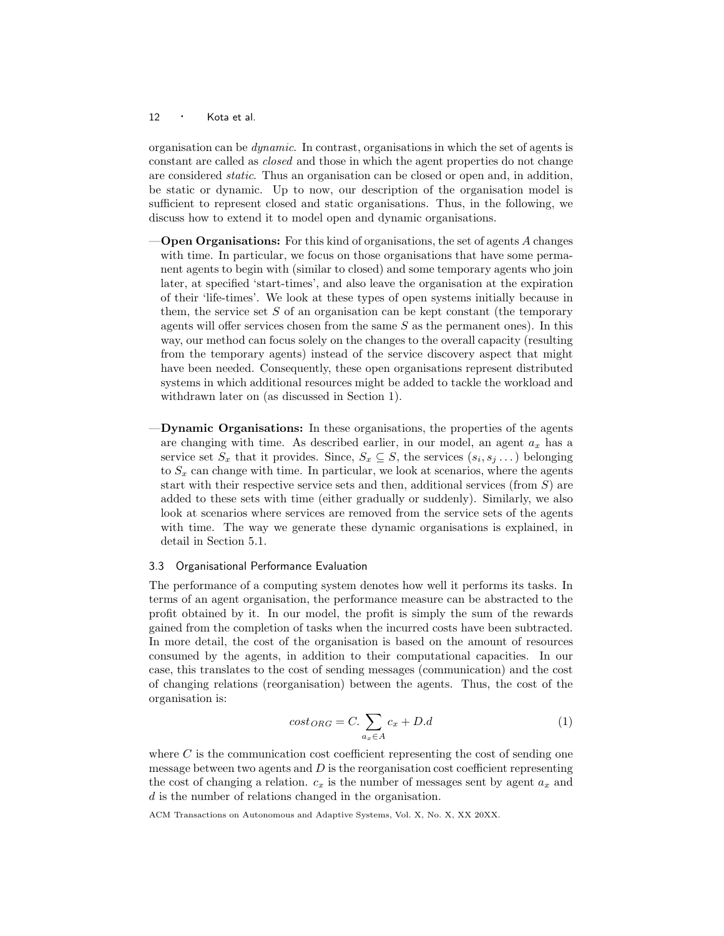organisation can be dynamic. In contrast, organisations in which the set of agents is constant are called as closed and those in which the agent properties do not change are considered static. Thus an organisation can be closed or open and, in addition, be static or dynamic. Up to now, our description of the organisation model is sufficient to represent closed and static organisations. Thus, in the following, we discuss how to extend it to model open and dynamic organisations.

- **Open Organisations:** For this kind of organisations, the set of agents  $A$  changes with time. In particular, we focus on those organisations that have some permanent agents to begin with (similar to closed) and some temporary agents who join later, at specified 'start-times', and also leave the organisation at the expiration of their 'life-times'. We look at these types of open systems initially because in them, the service set  $S$  of an organisation can be kept constant (the temporary agents will offer services chosen from the same  $S$  as the permanent ones). In this way, our method can focus solely on the changes to the overall capacity (resulting from the temporary agents) instead of the service discovery aspect that might have been needed. Consequently, these open organisations represent distributed systems in which additional resources might be added to tackle the workload and withdrawn later on (as discussed in Section 1).
- —Dynamic Organisations: In these organisations, the properties of the agents are changing with time. As described earlier, in our model, an agent  $a_x$  has a service set  $S_x$  that it provides. Since,  $S_x \subseteq S$ , the services  $(s_i, s_j \dots)$  belonging to  $S_x$  can change with time. In particular, we look at scenarios, where the agents start with their respective service sets and then, additional services (from  $S$ ) are added to these sets with time (either gradually or suddenly). Similarly, we also look at scenarios where services are removed from the service sets of the agents with time. The way we generate these dynamic organisations is explained, in detail in Section 5.1.

# 3.3 Organisational Performance Evaluation

The performance of a computing system denotes how well it performs its tasks. In terms of an agent organisation, the performance measure can be abstracted to the profit obtained by it. In our model, the profit is simply the sum of the rewards gained from the completion of tasks when the incurred costs have been subtracted. In more detail, the cost of the organisation is based on the amount of resources consumed by the agents, in addition to their computational capacities. In our case, this translates to the cost of sending messages (communication) and the cost of changing relations (reorganisation) between the agents. Thus, the cost of the organisation is:

$$
cost_{ORG} = C. \sum_{a_x \in A} c_x + D.d
$$
 (1)

where  $C$  is the communication cost coefficient representing the cost of sending one message between two agents and  $D$  is the reorganisation cost coefficient representing the cost of changing a relation.  $c_x$  is the number of messages sent by agent  $a_x$  and d is the number of relations changed in the organisation.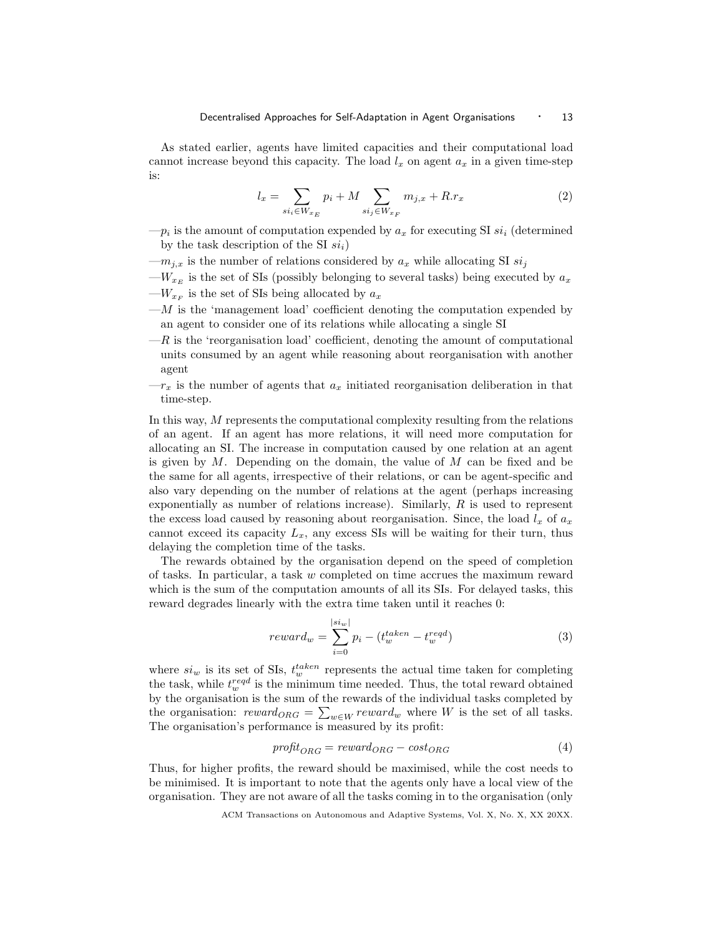As stated earlier, agents have limited capacities and their computational load cannot increase beyond this capacity. The load  $l_x$  on agent  $a_x$  in a given time-step is:

$$
l_x = \sum_{s i_i \in W_{x_E}} p_i + M \sum_{s i_j \in W_{x_F}} m_{j,x} + R.r_x \tag{2}
$$

 $-p_i$  is the amount of computation expended by  $a_x$  for executing SI  $si_i$  (determined by the task description of the SI  $si_i$ )

- $-m_{j,x}$  is the number of relations considered by  $a_x$  while allocating SI  $si_j$
- $-W_{x_E}$  is the set of SIs (possibly belonging to several tasks) being executed by  $a_x$
- $-W_{x_F}$  is the set of SIs being allocated by  $a_x$
- $-M$  is the 'management load' coefficient denoting the computation expended by an agent to consider one of its relations while allocating a single SI
- $-R$  is the 'reorganisation load' coefficient, denoting the amount of computational units consumed by an agent while reasoning about reorganisation with another agent
- $-r_x$  is the number of agents that  $a_x$  initiated reorganisation deliberation in that time-step.

In this way, M represents the computational complexity resulting from the relations of an agent. If an agent has more relations, it will need more computation for allocating an SI. The increase in computation caused by one relation at an agent is given by  $M$ . Depending on the domain, the value of  $M$  can be fixed and be the same for all agents, irrespective of their relations, or can be agent-specific and also vary depending on the number of relations at the agent (perhaps increasing exponentially as number of relations increase). Similarly, R is used to represent the excess load caused by reasoning about reorganisation. Since, the load  $l_x$  of  $a_x$ cannot exceed its capacity  $L_x$ , any excess SIs will be waiting for their turn, thus delaying the completion time of the tasks.

The rewards obtained by the organisation depend on the speed of completion of tasks. In particular, a task w completed on time accrues the maximum reward which is the sum of the computation amounts of all its SIs. For delayed tasks, this reward degrades linearly with the extra time taken until it reaches 0:

$$
reward_w = \sum_{i=0}^{|si_w|} p_i - (t_w^{taken} - t_w^{reqd})
$$
\n(3)

where  $si_w$  is its set of SIs,  $t_w^{taken}$  represents the actual time taken for completing the task, while  $t_w^{req}$  is the minimum time needed. Thus, the total reward obtained by the organisation is the sum of the rewards of the individual tasks completed by the organisation:  $reward_{ORG} = \sum_{w \in W} reward_w$  where W is the set of all tasks. The organisation's performance is measured by its profit:

$$
profit_{ORG} = reward_{ORG} - cost_{ORG}
$$
 (4)

Thus, for higher profits, the reward should be maximised, while the cost needs to be minimised. It is important to note that the agents only have a local view of the organisation. They are not aware of all the tasks coming in to the organisation (only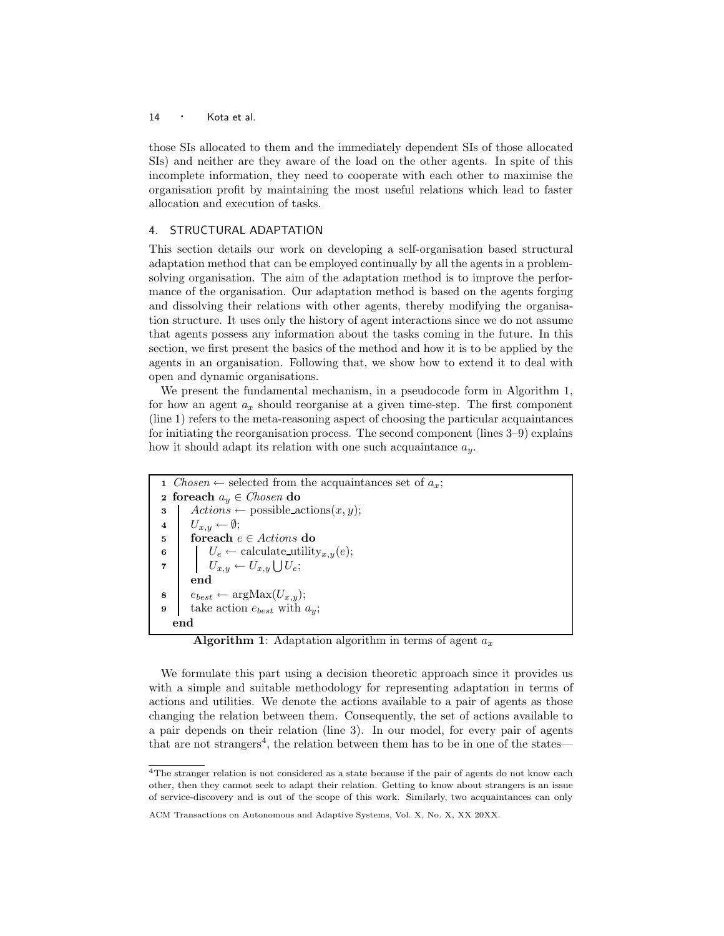those SIs allocated to them and the immediately dependent SIs of those allocated SIs) and neither are they aware of the load on the other agents. In spite of this incomplete information, they need to cooperate with each other to maximise the organisation profit by maintaining the most useful relations which lead to faster allocation and execution of tasks.

# 4. STRUCTURAL ADAPTATION

This section details our work on developing a self-organisation based structural adaptation method that can be employed continually by all the agents in a problemsolving organisation. The aim of the adaptation method is to improve the performance of the organisation. Our adaptation method is based on the agents forging and dissolving their relations with other agents, thereby modifying the organisation structure. It uses only the history of agent interactions since we do not assume that agents possess any information about the tasks coming in the future. In this section, we first present the basics of the method and how it is to be applied by the agents in an organisation. Following that, we show how to extend it to deal with open and dynamic organisations.

We present the fundamental mechanism, in a pseudocode form in Algorithm 1, for how an agent  $a_x$  should reorganise at a given time-step. The first component (line 1) refers to the meta-reasoning aspect of choosing the particular acquaintances for initiating the reorganisation process. The second component (lines 3–9) explains how it should adapt its relation with one such acquaintance  $a_y$ .

```
1 Chosen \leftarrow selected from the acquaintances set of a_x;
2 foreach a_y \in \textit{Chosen} do
\mathbf{3} | Actions \leftarrow \text{possible}.\text{actions}(x, y);4 U_{x,y} \leftarrow \emptyset;5 foreach e \in Actions do
6 U_e \leftarrow calculate_utility<sub>x,y</sub>(e);
7 U_{x,y} \leftarrow U_{x,y} \bigcup U_e;end
8 e_{best} \leftarrow \arg \text{Max}(U_{x,y});9 take action e_{best} with a_y;
  end
```
**Algorithm 1:** Adaptation algorithm in terms of agent  $a_x$ 

We formulate this part using a decision theoretic approach since it provides us with a simple and suitable methodology for representing adaptation in terms of actions and utilities. We denote the actions available to a pair of agents as those changing the relation between them. Consequently, the set of actions available to a pair depends on their relation (line 3). In our model, for every pair of agents that are not strangers<sup>4</sup>, the relation between them has to be in one of the states—

<sup>&</sup>lt;sup>4</sup>The stranger relation is not considered as a state because if the pair of agents do not know each other, then they cannot seek to adapt their relation. Getting to know about strangers is an issue of service-discovery and is out of the scope of this work. Similarly, two acquaintances can only

ACM Transactions on Autonomous and Adaptive Systems, Vol. X, No. X, XX 20XX.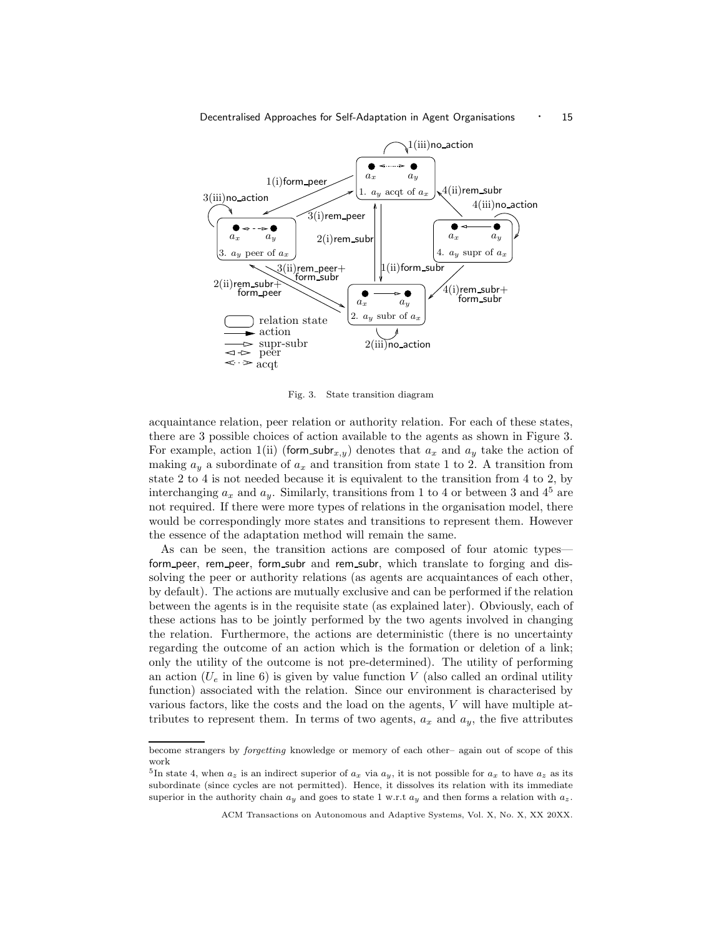

Fig. 3. State transition diagram

acquaintance relation, peer relation or authority relation. For each of these states, there are 3 possible choices of action available to the agents as shown in Figure 3. For example, action 1(ii) (form subr<sub>x,y</sub>) denotes that  $a_x$  and  $a_y$  take the action of making  $a_y$  a subordinate of  $a_x$  and transition from state 1 to 2. A transition from state 2 to 4 is not needed because it is equivalent to the transition from 4 to 2, by interchanging  $a_x$  and  $a_y$ . Similarly, transitions from 1 to 4 or between 3 and  $4^5$  are not required. If there were more types of relations in the organisation model, there would be correspondingly more states and transitions to represent them. However the essence of the adaptation method will remain the same.

As can be seen, the transition actions are composed of four atomic types form peer, rem peer, form subr and rem subr, which translate to forging and dissolving the peer or authority relations (as agents are acquaintances of each other, by default). The actions are mutually exclusive and can be performed if the relation between the agents is in the requisite state (as explained later). Obviously, each of these actions has to be jointly performed by the two agents involved in changing the relation. Furthermore, the actions are deterministic (there is no uncertainty regarding the outcome of an action which is the formation or deletion of a link; only the utility of the outcome is not pre-determined). The utility of performing an action  $(U_e$  in line 6) is given by value function V (also called an ordinal utility function) associated with the relation. Since our environment is characterised by various factors, like the costs and the load on the agents, V will have multiple attributes to represent them. In terms of two agents,  $a_x$  and  $a_y$ , the five attributes

become strangers by *forgetting* knowledge or memory of each other– again out of scope of this work

<sup>&</sup>lt;sup>5</sup>In state 4, when  $a_z$  is an indirect superior of  $a_x$  via  $a_y$ , it is not possible for  $a_x$  to have  $a_z$  as its subordinate (since cycles are not permitted). Hence, it dissolves its relation with its immediate superior in the authority chain  $a_y$  and goes to state 1 w.r.t  $a_y$  and then forms a relation with  $a_z$ .

ACM Transactions on Autonomous and Adaptive Systems, Vol. X, No. X, XX 20XX.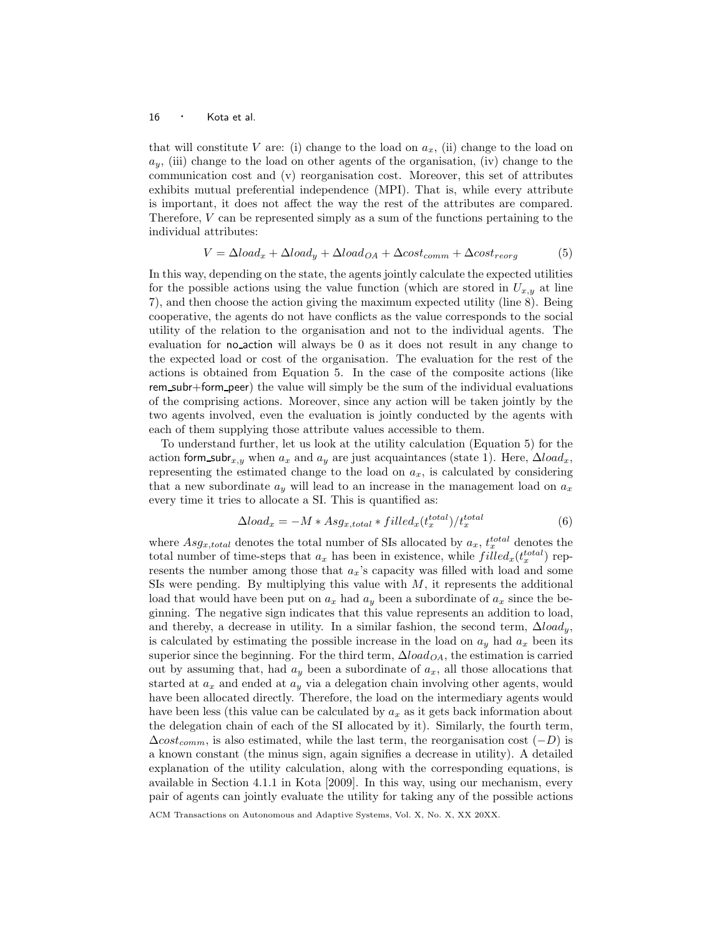that will constitute V are: (i) change to the load on  $a_x$ , (ii) change to the load on  $a_y$ , (iii) change to the load on other agents of the organisation, (iv) change to the communication cost and (v) reorganisation cost. Moreover, this set of attributes exhibits mutual preferential independence (MPI). That is, while every attribute is important, it does not affect the way the rest of the attributes are compared. Therefore, V can be represented simply as a sum of the functions pertaining to the individual attributes:

$$
V = \Delta load_x + \Delta load_y + \Delta load_{OA} + \Delta cost_{comm} + \Delta cost_{reorg}
$$
 (5)

In this way, depending on the state, the agents jointly calculate the expected utilities for the possible actions using the value function (which are stored in  $U_{x,y}$  at line 7), and then choose the action giving the maximum expected utility (line 8). Being cooperative, the agents do not have conflicts as the value corresponds to the social utility of the relation to the organisation and not to the individual agents. The evaluation for no action will always be 0 as it does not result in any change to the expected load or cost of the organisation. The evaluation for the rest of the actions is obtained from Equation 5. In the case of the composite actions (like rem subr+form peer) the value will simply be the sum of the individual evaluations of the comprising actions. Moreover, since any action will be taken jointly by the two agents involved, even the evaluation is jointly conducted by the agents with each of them supplying those attribute values accessible to them.

To understand further, let us look at the utility calculation (Equation 5) for the action form subr<sub>x,y</sub> when  $a_x$  and  $a_y$  are just acquaintances (state 1). Here,  $\Delta load_x$ , representing the estimated change to the load on  $a_x$ , is calculated by considering that a new subordinate  $a_y$  will lead to an increase in the management load on  $a_x$ every time it tries to allocate a SI. This is quantified as:

$$
\Delta load_x = -M * Asg_{x,total} * filled_x(t_x^{total})/t_x^{total}
$$
\n(6)

where  $Asg_{x,total}$  denotes the total number of SIs allocated by  $a_x$ ,  $t_x^{total}$  denotes the total number of time-steps that  $a_x$  has been in existence, while  $filled_x(t_x^{total})$  represents the number among those that  $a_x$ 's capacity was filled with load and some SIs were pending. By multiplying this value with  $M$ , it represents the additional load that would have been put on  $a_x$  had  $a_y$  been a subordinate of  $a_x$  since the beginning. The negative sign indicates that this value represents an addition to load, and thereby, a decrease in utility. In a similar fashion, the second term,  $\Delta load_y$ , is calculated by estimating the possible increase in the load on  $a_y$  had  $a_x$  been its superior since the beginning. For the third term,  $\Delta load_{OA}$ , the estimation is carried out by assuming that, had  $a_y$  been a subordinate of  $a_x$ , all those allocations that started at  $a_x$  and ended at  $a_y$  via a delegation chain involving other agents, would have been allocated directly. Therefore, the load on the intermediary agents would have been less (this value can be calculated by  $a_x$  as it gets back information about the delegation chain of each of the SI allocated by it). Similarly, the fourth term,  $\Delta cost_{comm}$ , is also estimated, while the last term, the reorganisation cost  $(-D)$  is a known constant (the minus sign, again signifies a decrease in utility). A detailed explanation of the utility calculation, along with the corresponding equations, is available in Section 4.1.1 in Kota [2009]. In this way, using our mechanism, every pair of agents can jointly evaluate the utility for taking any of the possible actions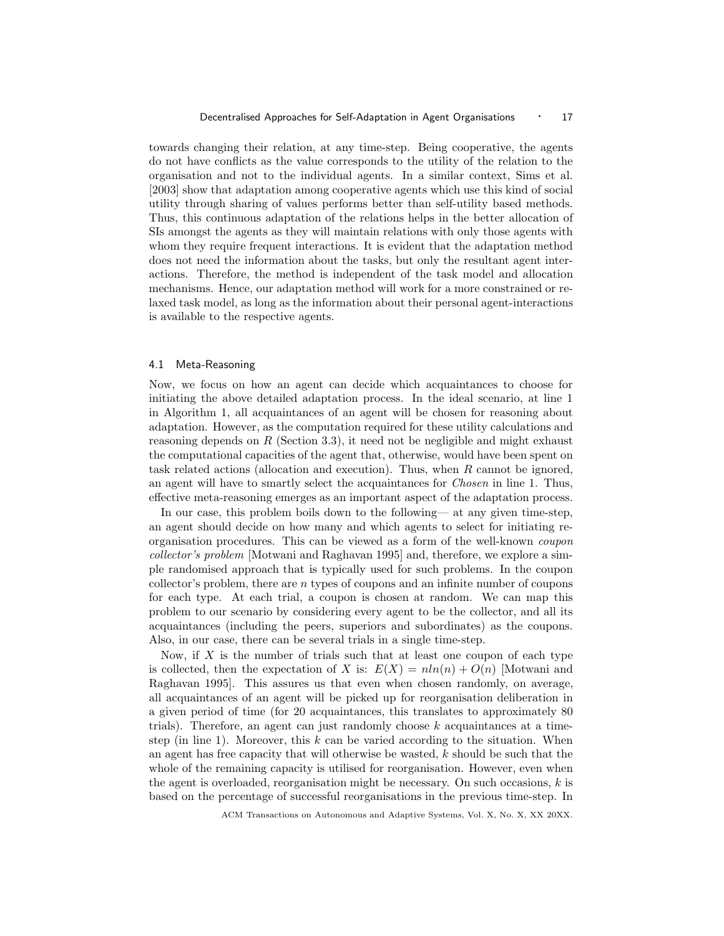towards changing their relation, at any time-step. Being cooperative, the agents do not have conflicts as the value corresponds to the utility of the relation to the organisation and not to the individual agents. In a similar context, Sims et al. [2003] show that adaptation among cooperative agents which use this kind of social utility through sharing of values performs better than self-utility based methods. Thus, this continuous adaptation of the relations helps in the better allocation of SIs amongst the agents as they will maintain relations with only those agents with whom they require frequent interactions. It is evident that the adaptation method does not need the information about the tasks, but only the resultant agent interactions. Therefore, the method is independent of the task model and allocation mechanisms. Hence, our adaptation method will work for a more constrained or relaxed task model, as long as the information about their personal agent-interactions is available to the respective agents.

# 4.1 Meta-Reasoning

Now, we focus on how an agent can decide which acquaintances to choose for initiating the above detailed adaptation process. In the ideal scenario, at line 1 in Algorithm 1, all acquaintances of an agent will be chosen for reasoning about adaptation. However, as the computation required for these utility calculations and reasoning depends on  $R$  (Section 3.3), it need not be negligible and might exhaust the computational capacities of the agent that, otherwise, would have been spent on task related actions (allocation and execution). Thus, when R cannot be ignored, an agent will have to smartly select the acquaintances for Chosen in line 1. Thus, effective meta-reasoning emerges as an important aspect of the adaptation process.

In our case, this problem boils down to the following— at any given time-step, an agent should decide on how many and which agents to select for initiating reorganisation procedures. This can be viewed as a form of the well-known coupon collector's problem [Motwani and Raghavan 1995] and, therefore, we explore a simple randomised approach that is typically used for such problems. In the coupon  $\alpha$  collector's problem, there are n types of coupons and an infinite number of coupons for each type. At each trial, a coupon is chosen at random. We can map this problem to our scenario by considering every agent to be the collector, and all its acquaintances (including the peers, superiors and subordinates) as the coupons. Also, in our case, there can be several trials in a single time-step.

Now, if  $X$  is the number of trials such that at least one coupon of each type is collected, then the expectation of X is:  $E(X) = n ln(n) + O(n)$  [Motwani and Raghavan 1995]. This assures us that even when chosen randomly, on average, all acquaintances of an agent will be picked up for reorganisation deliberation in a given period of time (for 20 acquaintances, this translates to approximately 80 trials). Therefore, an agent can just randomly choose  $k$  acquaintances at a timestep (in line 1). Moreover, this  $k$  can be varied according to the situation. When an agent has free capacity that will otherwise be wasted, k should be such that the whole of the remaining capacity is utilised for reorganisation. However, even when the agent is overloaded, reorganisation might be necessary. On such occasions,  $k$  is based on the percentage of successful reorganisations in the previous time-step. In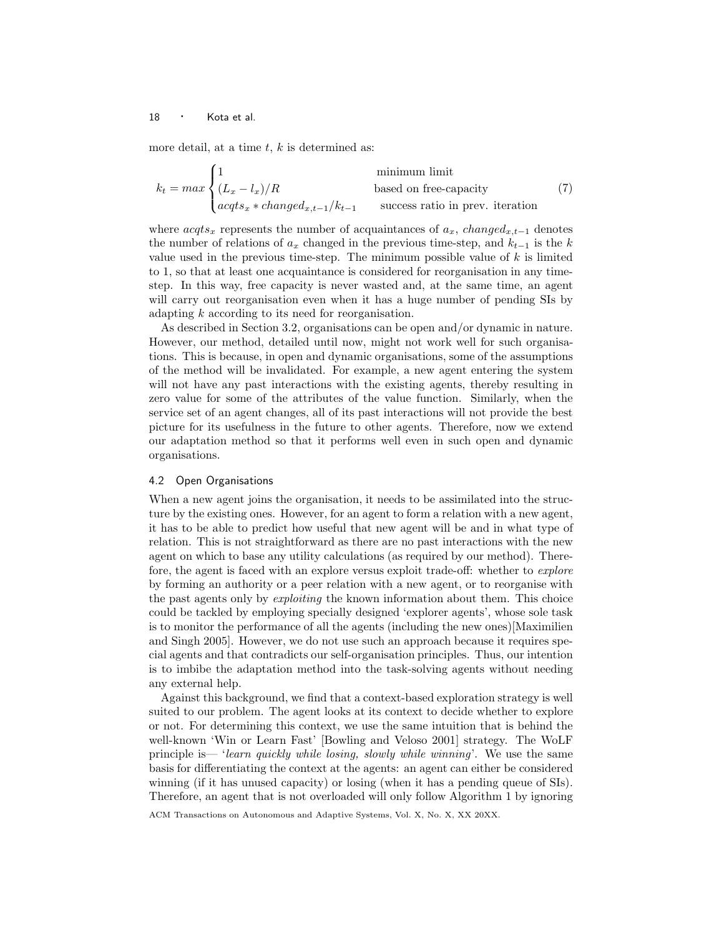more detail, at a time  $t, k$  is determined as:

$$
k_t = max \begin{cases} 1 & \text{minimum limit} \\ (L_x - l_x)/R & \text{based on free-capacity} \\ acqts_x * changed_{x,t-1}/k_{t-1} & \text{success ratio in prev. iteration} \end{cases} \tag{7}
$$

where  $acqts_x$  represents the number of acquaintances of  $a_x$ , changed<sub>x,t−1</sub> denotes the number of relations of  $a_x$  changed in the previous time-step, and  $k_{t-1}$  is the k value used in the previous time-step. The minimum possible value of  $k$  is limited to 1, so that at least one acquaintance is considered for reorganisation in any timestep. In this way, free capacity is never wasted and, at the same time, an agent will carry out reorganisation even when it has a huge number of pending SIs by adapting k according to its need for reorganisation.

As described in Section 3.2, organisations can be open and/or dynamic in nature. However, our method, detailed until now, might not work well for such organisations. This is because, in open and dynamic organisations, some of the assumptions of the method will be invalidated. For example, a new agent entering the system will not have any past interactions with the existing agents, thereby resulting in zero value for some of the attributes of the value function. Similarly, when the service set of an agent changes, all of its past interactions will not provide the best picture for its usefulness in the future to other agents. Therefore, now we extend our adaptation method so that it performs well even in such open and dynamic organisations.

#### 4.2 Open Organisations

When a new agent joins the organisation, it needs to be assimilated into the structure by the existing ones. However, for an agent to form a relation with a new agent, it has to be able to predict how useful that new agent will be and in what type of relation. This is not straightforward as there are no past interactions with the new agent on which to base any utility calculations (as required by our method). Therefore, the agent is faced with an explore versus exploit trade-off: whether to explore by forming an authority or a peer relation with a new agent, or to reorganise with the past agents only by *exploiting* the known information about them. This choice could be tackled by employing specially designed 'explorer agents', whose sole task is to monitor the performance of all the agents (including the new ones)[Maximilien and Singh 2005]. However, we do not use such an approach because it requires special agents and that contradicts our self-organisation principles. Thus, our intention is to imbibe the adaptation method into the task-solving agents without needing any external help.

Against this background, we find that a context-based exploration strategy is well suited to our problem. The agent looks at its context to decide whether to explore or not. For determining this context, we use the same intuition that is behind the well-known 'Win or Learn Fast' [Bowling and Veloso 2001] strategy. The WoLF principle is— 'learn quickly while losing, slowly while winning'. We use the same basis for differentiating the context at the agents: an agent can either be considered winning (if it has unused capacity) or losing (when it has a pending queue of SIs). Therefore, an agent that is not overloaded will only follow Algorithm 1 by ignoring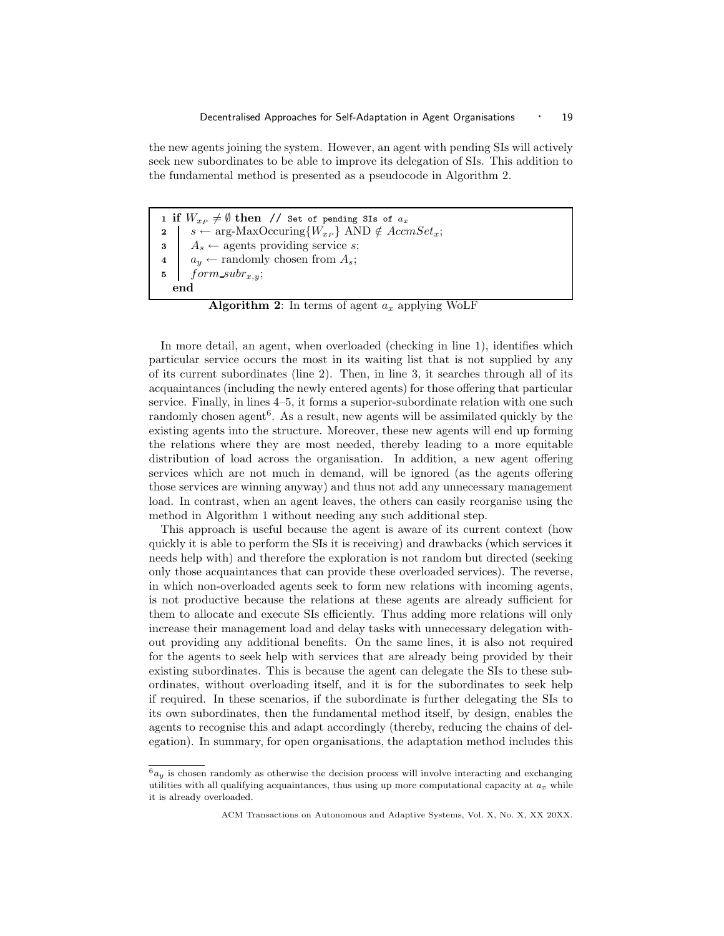the new agents joining the system. However, an agent with pending SIs will actively seek new subordinates to be able to improve its delegation of SIs. This addition to the fundamental method is presented as a pseudocode in Algorithm 2.

1 if  $W_{x_P} \neq \emptyset$  then // Set of pending SIs of  $a_x$ 2 |  $s \leftarrow \arg\text{-}MaxOccuring\{W_{x_P}\} \text{ AND } \notin AccmSet_x;$  $A_s \leftarrow$  agents providing service s; 4 ay ← randomly chosen from  $A_s$ ; 5 form  $subr_{x,y}$ ; end

**Algorithm 2:** In terms of agent  $a_x$  applying WoLF

In more detail, an agent, when overloaded (checking in line 1), identifies which particular service occurs the most in its waiting list that is not supplied by any of its current subordinates (line 2). Then, in line 3, it searches through all of its acquaintances (including the newly entered agents) for those offering that particular service. Finally, in lines 4–5, it forms a superior-subordinate relation with one such randomly chosen agent<sup>6</sup>. As a result, new agents will be assimilated quickly by the existing agents into the structure. Moreover, these new agents will end up forming the relations where they are most needed, thereby leading to a more equitable distribution of load across the organisation. In addition, a new agent offering services which are not much in demand, will be ignored (as the agents offering those services are winning anyway) and thus not add any unnecessary management load. In contrast, when an agent leaves, the others can easily reorganise using the method in Algorithm 1 without needing any such additional step.

This approach is useful because the agent is aware of its current context (how quickly it is able to perform the SIs it is receiving) and drawbacks (which services it needs help with) and therefore the exploration is not random but directed (seeking only those acquaintances that can provide these overloaded services). The reverse, in which non-overloaded agents seek to form new relations with incoming agents, is not productive because the relations at these agents are already sufficient for them to allocate and execute SIs efficiently. Thus adding more relations will only increase their management load and delay tasks with unnecessary delegation without providing any additional benefits. On the same lines, it is also not required for the agents to seek help with services that are already being provided by their existing subordinates. This is because the agent can delegate the SIs to these subordinates, without overloading itself, and it is for the subordinates to seek help if required. In these scenarios, if the subordinate is further delegating the SIs to its own subordinates, then the fundamental method itself, by design, enables the agents to recognise this and adapt accordingly (thereby, reducing the chains of delegation). In summary, for open organisations, the adaptation method includes this

 $6a_y$  is chosen randomly as otherwise the decision process will involve interacting and exchanging utilities with all qualifying acquaintances, thus using up more computational capacity at  $a_x$  while it is already overloaded.

ACM Transactions on Autonomous and Adaptive Systems, Vol. X, No. X, XX 20XX.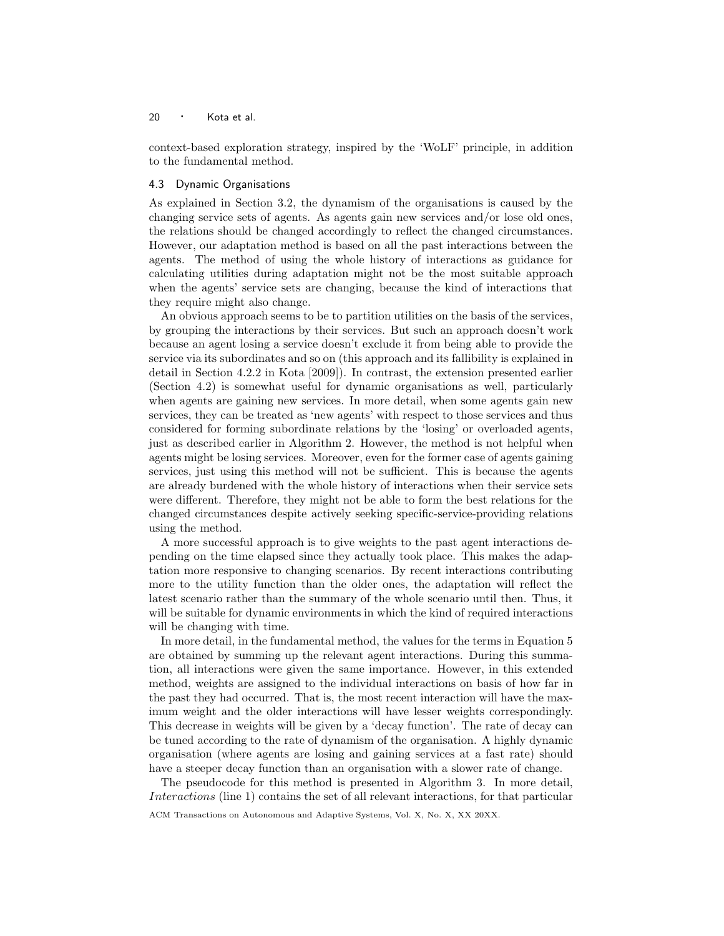context-based exploration strategy, inspired by the 'WoLF' principle, in addition to the fundamental method.

# 4.3 Dynamic Organisations

As explained in Section 3.2, the dynamism of the organisations is caused by the changing service sets of agents. As agents gain new services and/or lose old ones, the relations should be changed accordingly to reflect the changed circumstances. However, our adaptation method is based on all the past interactions between the agents. The method of using the whole history of interactions as guidance for calculating utilities during adaptation might not be the most suitable approach when the agents' service sets are changing, because the kind of interactions that they require might also change.

An obvious approach seems to be to partition utilities on the basis of the services, by grouping the interactions by their services. But such an approach doesn't work because an agent losing a service doesn't exclude it from being able to provide the service via its subordinates and so on (this approach and its fallibility is explained in detail in Section 4.2.2 in Kota [2009]). In contrast, the extension presented earlier (Section 4.2) is somewhat useful for dynamic organisations as well, particularly when agents are gaining new services. In more detail, when some agents gain new services, they can be treated as 'new agents' with respect to those services and thus considered for forming subordinate relations by the 'losing' or overloaded agents, just as described earlier in Algorithm 2. However, the method is not helpful when agents might be losing services. Moreover, even for the former case of agents gaining services, just using this method will not be sufficient. This is because the agents are already burdened with the whole history of interactions when their service sets were different. Therefore, they might not be able to form the best relations for the changed circumstances despite actively seeking specific-service-providing relations using the method.

A more successful approach is to give weights to the past agent interactions depending on the time elapsed since they actually took place. This makes the adaptation more responsive to changing scenarios. By recent interactions contributing more to the utility function than the older ones, the adaptation will reflect the latest scenario rather than the summary of the whole scenario until then. Thus, it will be suitable for dynamic environments in which the kind of required interactions will be changing with time.

In more detail, in the fundamental method, the values for the terms in Equation 5 are obtained by summing up the relevant agent interactions. During this summation, all interactions were given the same importance. However, in this extended method, weights are assigned to the individual interactions on basis of how far in the past they had occurred. That is, the most recent interaction will have the maximum weight and the older interactions will have lesser weights correspondingly. This decrease in weights will be given by a 'decay function'. The rate of decay can be tuned according to the rate of dynamism of the organisation. A highly dynamic organisation (where agents are losing and gaining services at a fast rate) should have a steeper decay function than an organisation with a slower rate of change.

The pseudocode for this method is presented in Algorithm 3. In more detail, Interactions (line 1) contains the set of all relevant interactions, for that particular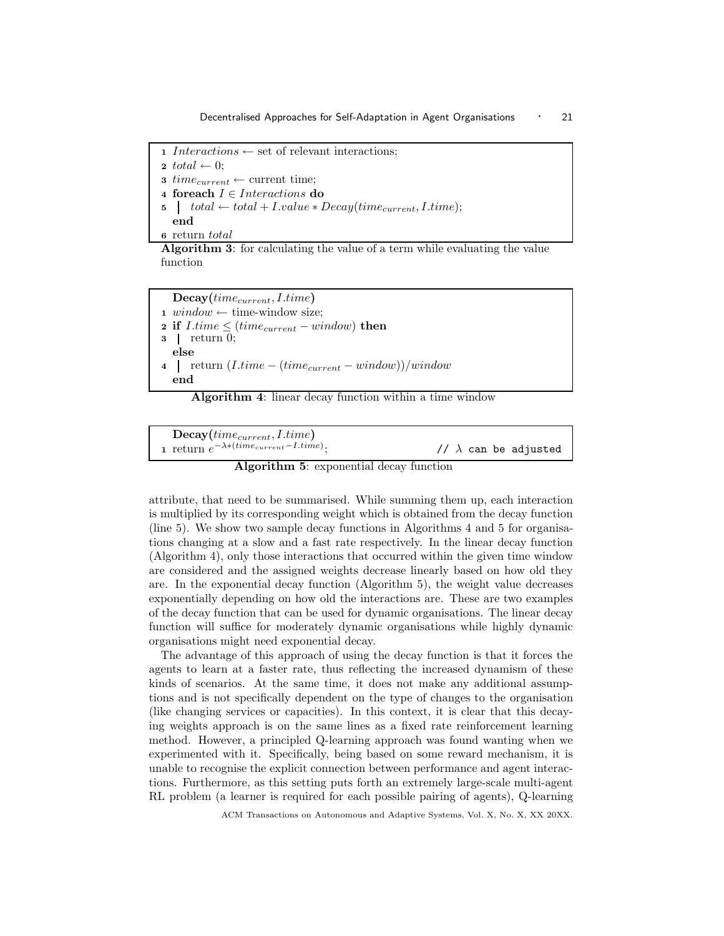Decentralised Approaches for Self-Adaptation in Agent Organisations • 21

1 Interactions  $\leftarrow$  set of relevant interactions; 2 total  $\leftarrow$  0:

3  $time_{current} \leftarrow$  current time;

4 foreach  $I \in Interatorions$  do

5  $total \leftarrow total + I.value * Decay(time_{current}, I.time);$ 

end

6 return total

Algorithm 3: for calculating the value of a term while evaluating the value function

 $\textbf{Decay}(time_{current}, I.time)$ 1  $window \leftarrow time\text{-window size};$ 2 if  $I.time \leq (time_{current} - window)$  then <sup>3</sup> return 0; else 4  $\mid$  return  $(I.time - (time_{current} - window)) / window$ end

Algorithm 4: linear decay function within a time window

```
\textbf{Decay}(time_{current}, I.time)1 return e^{-\lambda * (time_{current}-I.time)}// \lambda can be adjusted
```
Algorithm 5: exponential decay function

attribute, that need to be summarised. While summing them up, each interaction is multiplied by its corresponding weight which is obtained from the decay function (line 5). We show two sample decay functions in Algorithms 4 and 5 for organisations changing at a slow and a fast rate respectively. In the linear decay function (Algorithm 4), only those interactions that occurred within the given time window are considered and the assigned weights decrease linearly based on how old they are. In the exponential decay function (Algorithm 5), the weight value decreases exponentially depending on how old the interactions are. These are two examples of the decay function that can be used for dynamic organisations. The linear decay function will suffice for moderately dynamic organisations while highly dynamic organisations might need exponential decay.

The advantage of this approach of using the decay function is that it forces the agents to learn at a faster rate, thus reflecting the increased dynamism of these kinds of scenarios. At the same time, it does not make any additional assumptions and is not specifically dependent on the type of changes to the organisation (like changing services or capacities). In this context, it is clear that this decaying weights approach is on the same lines as a fixed rate reinforcement learning method. However, a principled Q-learning approach was found wanting when we experimented with it. Specifically, being based on some reward mechanism, it is unable to recognise the explicit connection between performance and agent interactions. Furthermore, as this setting puts forth an extremely large-scale multi-agent RL problem (a learner is required for each possible pairing of agents), Q-learning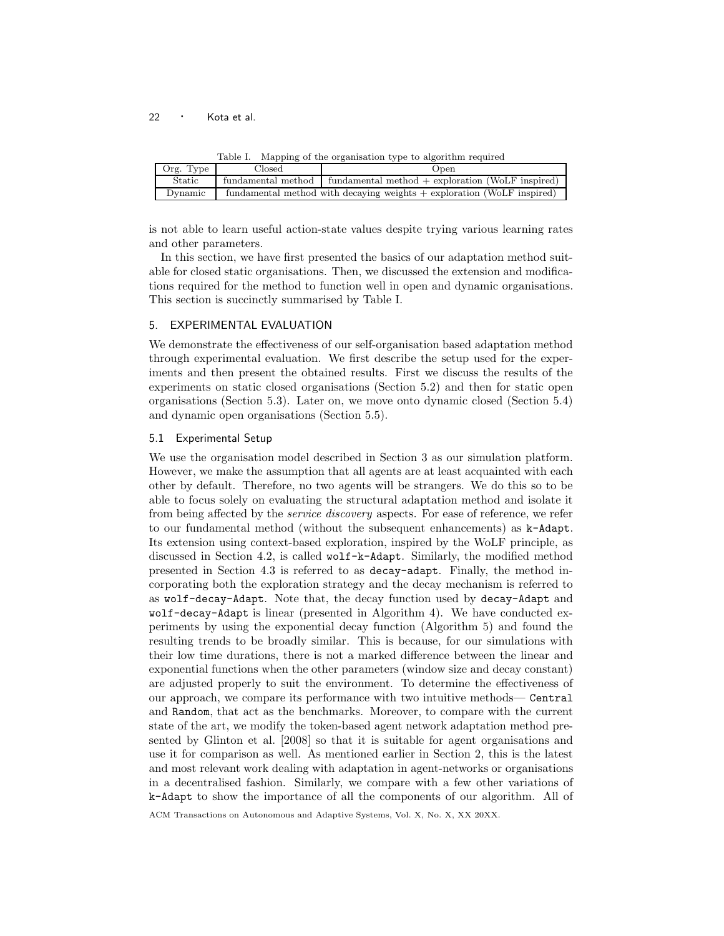| Org. Type | Closed             | Open                                                                     |
|-----------|--------------------|--------------------------------------------------------------------------|
| Static    | fundamental method | fundamental method $+$ exploration (WoLF inspired)                       |
| Dynamic   |                    | fundamental method with decaying weights $+$ exploration (WoLF inspired) |

Table I. Mapping of the organisation type to algorithm required

is not able to learn useful action-state values despite trying various learning rates and other parameters.

In this section, we have first presented the basics of our adaptation method suitable for closed static organisations. Then, we discussed the extension and modifications required for the method to function well in open and dynamic organisations. This section is succinctly summarised by Table I.

# 5. EXPERIMENTAL EVALUATION

We demonstrate the effectiveness of our self-organisation based adaptation method through experimental evaluation. We first describe the setup used for the experiments and then present the obtained results. First we discuss the results of the experiments on static closed organisations (Section 5.2) and then for static open organisations (Section 5.3). Later on, we move onto dynamic closed (Section 5.4) and dynamic open organisations (Section 5.5).

#### 5.1 Experimental Setup

We use the organisation model described in Section 3 as our simulation platform. However, we make the assumption that all agents are at least acquainted with each other by default. Therefore, no two agents will be strangers. We do this so to be able to focus solely on evaluating the structural adaptation method and isolate it from being affected by the *service discovery* aspects. For ease of reference, we refer to our fundamental method (without the subsequent enhancements) as k-Adapt. Its extension using context-based exploration, inspired by the WoLF principle, as discussed in Section 4.2, is called wolf-k-Adapt. Similarly, the modified method presented in Section 4.3 is referred to as decay-adapt. Finally, the method incorporating both the exploration strategy and the decay mechanism is referred to as wolf-decay-Adapt. Note that, the decay function used by decay-Adapt and wolf-decay-Adapt is linear (presented in Algorithm 4). We have conducted experiments by using the exponential decay function (Algorithm 5) and found the resulting trends to be broadly similar. This is because, for our simulations with their low time durations, there is not a marked difference between the linear and exponential functions when the other parameters (window size and decay constant) are adjusted properly to suit the environment. To determine the effectiveness of our approach, we compare its performance with two intuitive methods— Central and Random, that act as the benchmarks. Moreover, to compare with the current state of the art, we modify the token-based agent network adaptation method presented by Glinton et al. [2008] so that it is suitable for agent organisations and use it for comparison as well. As mentioned earlier in Section 2, this is the latest and most relevant work dealing with adaptation in agent-networks or organisations in a decentralised fashion. Similarly, we compare with a few other variations of k-Adapt to show the importance of all the components of our algorithm. All of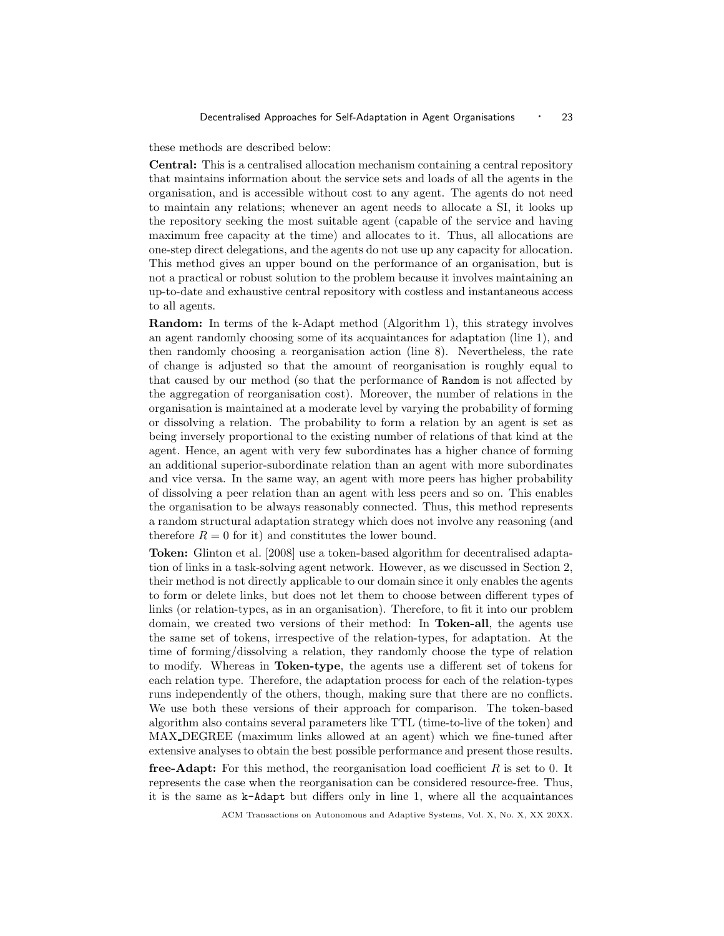these methods are described below:

Central: This is a centralised allocation mechanism containing a central repository that maintains information about the service sets and loads of all the agents in the organisation, and is accessible without cost to any agent. The agents do not need to maintain any relations; whenever an agent needs to allocate a SI, it looks up the repository seeking the most suitable agent (capable of the service and having maximum free capacity at the time) and allocates to it. Thus, all allocations are one-step direct delegations, and the agents do not use up any capacity for allocation. This method gives an upper bound on the performance of an organisation, but is not a practical or robust solution to the problem because it involves maintaining an up-to-date and exhaustive central repository with costless and instantaneous access to all agents.

Random: In terms of the k-Adapt method (Algorithm 1), this strategy involves an agent randomly choosing some of its acquaintances for adaptation (line 1), and then randomly choosing a reorganisation action (line 8). Nevertheless, the rate of change is adjusted so that the amount of reorganisation is roughly equal to that caused by our method (so that the performance of Random is not affected by the aggregation of reorganisation cost). Moreover, the number of relations in the organisation is maintained at a moderate level by varying the probability of forming or dissolving a relation. The probability to form a relation by an agent is set as being inversely proportional to the existing number of relations of that kind at the agent. Hence, an agent with very few subordinates has a higher chance of forming an additional superior-subordinate relation than an agent with more subordinates and vice versa. In the same way, an agent with more peers has higher probability of dissolving a peer relation than an agent with less peers and so on. This enables the organisation to be always reasonably connected. Thus, this method represents a random structural adaptation strategy which does not involve any reasoning (and therefore  $R = 0$  for it) and constitutes the lower bound.

Token: Glinton et al. [2008] use a token-based algorithm for decentralised adaptation of links in a task-solving agent network. However, as we discussed in Section 2, their method is not directly applicable to our domain since it only enables the agents to form or delete links, but does not let them to choose between different types of links (or relation-types, as in an organisation). Therefore, to fit it into our problem domain, we created two versions of their method: In Token-all, the agents use the same set of tokens, irrespective of the relation-types, for adaptation. At the time of forming/dissolving a relation, they randomly choose the type of relation to modify. Whereas in Token-type, the agents use a different set of tokens for each relation type. Therefore, the adaptation process for each of the relation-types runs independently of the others, though, making sure that there are no conflicts. We use both these versions of their approach for comparison. The token-based algorithm also contains several parameters like TTL (time-to-live of the token) and MAX DEGREE (maximum links allowed at an agent) which we fine-tuned after extensive analyses to obtain the best possible performance and present those results.

**free-Adapt:** For this method, the reorganisation load coefficient  $R$  is set to 0. It represents the case when the reorganisation can be considered resource-free. Thus, it is the same as k-Adapt but differs only in line 1, where all the acquaintances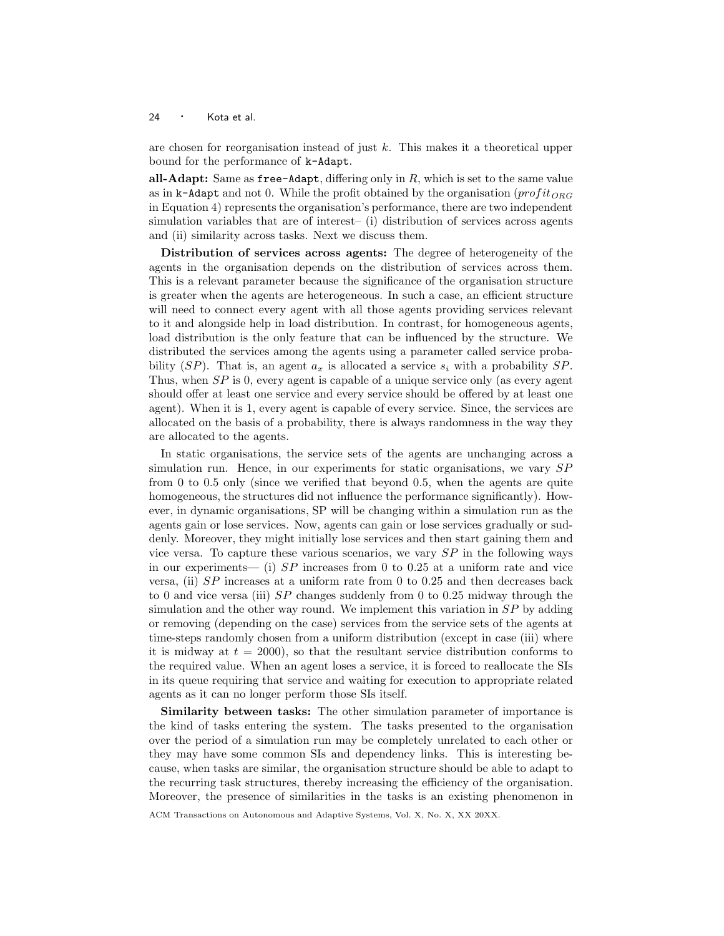are chosen for reorganisation instead of just k. This makes it a theoretical upper bound for the performance of k-Adapt.

all- $\bf{Adapt:}$  Same as free- $\bf{Adapt}$ , differing only in  $R$ , which is set to the same value as in k-Adapt and not 0. While the profit obtained by the organisation  $(prefit_{ORG})$ in Equation 4) represents the organisation's performance, there are two independent simulation variables that are of interest– (i) distribution of services across agents and (ii) similarity across tasks. Next we discuss them.

Distribution of services across agents: The degree of heterogeneity of the agents in the organisation depends on the distribution of services across them. This is a relevant parameter because the significance of the organisation structure is greater when the agents are heterogeneous. In such a case, an efficient structure will need to connect every agent with all those agents providing services relevant to it and alongside help in load distribution. In contrast, for homogeneous agents, load distribution is the only feature that can be influenced by the structure. We distributed the services among the agents using a parameter called service probability  $(SP)$ . That is, an agent  $a_x$  is allocated a service  $s_i$  with a probability  $SP$ . Thus, when SP is 0, every agent is capable of a unique service only (as every agent should offer at least one service and every service should be offered by at least one agent). When it is 1, every agent is capable of every service. Since, the services are allocated on the basis of a probability, there is always randomness in the way they are allocated to the agents.

In static organisations, the service sets of the agents are unchanging across a simulation run. Hence, in our experiments for static organisations, we vary SP from 0 to 0.5 only (since we verified that beyond 0.5, when the agents are quite homogeneous, the structures did not influence the performance significantly). However, in dynamic organisations, SP will be changing within a simulation run as the agents gain or lose services. Now, agents can gain or lose services gradually or suddenly. Moreover, they might initially lose services and then start gaining them and vice versa. To capture these various scenarios, we vary  $SP$  in the following ways in our experiments— (i)  $SP$  increases from 0 to 0.25 at a uniform rate and vice versa, (ii)  $SP$  increases at a uniform rate from 0 to 0.25 and then decreases back to 0 and vice versa (iii)  $SP$  changes suddenly from 0 to 0.25 midway through the simulation and the other way round. We implement this variation in SP by adding or removing (depending on the case) services from the service sets of the agents at time-steps randomly chosen from a uniform distribution (except in case (iii) where it is midway at  $t = 2000$ , so that the resultant service distribution conforms to the required value. When an agent loses a service, it is forced to reallocate the SIs in its queue requiring that service and waiting for execution to appropriate related agents as it can no longer perform those SIs itself.

Similarity between tasks: The other simulation parameter of importance is the kind of tasks entering the system. The tasks presented to the organisation over the period of a simulation run may be completely unrelated to each other or they may have some common SIs and dependency links. This is interesting because, when tasks are similar, the organisation structure should be able to adapt to the recurring task structures, thereby increasing the efficiency of the organisation. Moreover, the presence of similarities in the tasks is an existing phenomenon in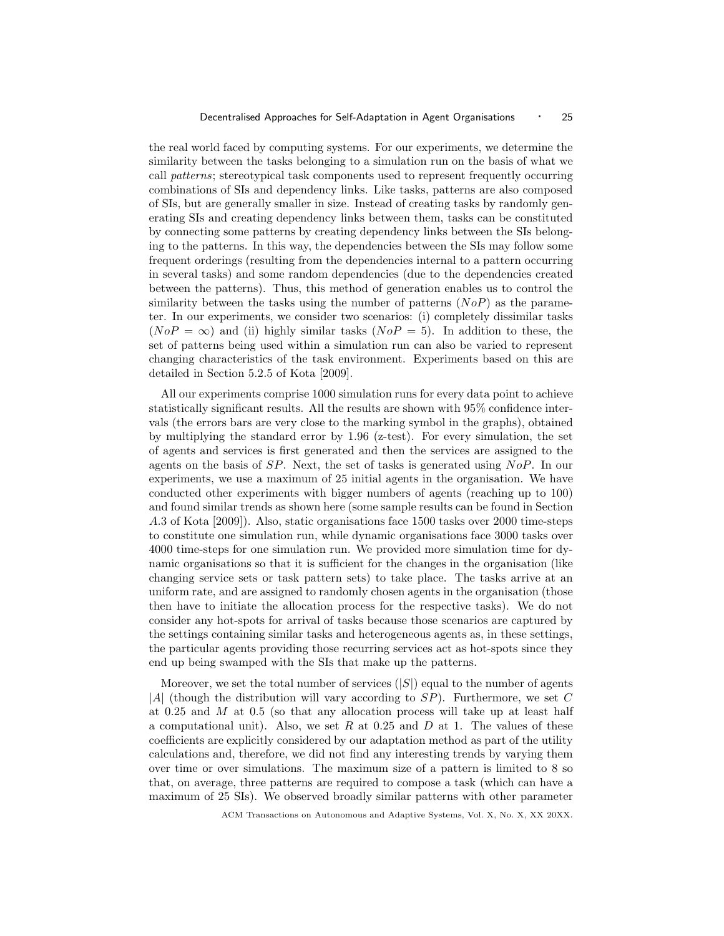the real world faced by computing systems. For our experiments, we determine the similarity between the tasks belonging to a simulation run on the basis of what we call patterns; stereotypical task components used to represent frequently occurring combinations of SIs and dependency links. Like tasks, patterns are also composed of SIs, but are generally smaller in size. Instead of creating tasks by randomly generating SIs and creating dependency links between them, tasks can be constituted by connecting some patterns by creating dependency links between the SIs belonging to the patterns. In this way, the dependencies between the SIs may follow some frequent orderings (resulting from the dependencies internal to a pattern occurring in several tasks) and some random dependencies (due to the dependencies created between the patterns). Thus, this method of generation enables us to control the similarity between the tasks using the number of patterns  $(NoP)$  as the parameter. In our experiments, we consider two scenarios: (i) completely dissimilar tasks  $(NoP = \infty)$  and (ii) highly similar tasks  $(NoP = 5)$ . In addition to these, the set of patterns being used within a simulation run can also be varied to represent changing characteristics of the task environment. Experiments based on this are detailed in Section 5.2.5 of Kota [2009].

All our experiments comprise 1000 simulation runs for every data point to achieve statistically significant results. All the results are shown with 95% confidence intervals (the errors bars are very close to the marking symbol in the graphs), obtained by multiplying the standard error by 1.96 (z-test). For every simulation, the set of agents and services is first generated and then the services are assigned to the agents on the basis of  $SP$ . Next, the set of tasks is generated using  $NoP$ . In our experiments, we use a maximum of 25 initial agents in the organisation. We have conducted other experiments with bigger numbers of agents (reaching up to 100) and found similar trends as shown here (some sample results can be found in Section A.3 of Kota [2009]). Also, static organisations face 1500 tasks over 2000 time-steps to constitute one simulation run, while dynamic organisations face 3000 tasks over 4000 time-steps for one simulation run. We provided more simulation time for dynamic organisations so that it is sufficient for the changes in the organisation (like changing service sets or task pattern sets) to take place. The tasks arrive at an uniform rate, and are assigned to randomly chosen agents in the organisation (those then have to initiate the allocation process for the respective tasks). We do not consider any hot-spots for arrival of tasks because those scenarios are captured by the settings containing similar tasks and heterogeneous agents as, in these settings, the particular agents providing those recurring services act as hot-spots since they end up being swamped with the SIs that make up the patterns.

Moreover, we set the total number of services  $(|S|)$  equal to the number of agents |A| (though the distribution will vary according to  $SP$ ). Furthermore, we set C at 0.25 and  $M$  at 0.5 (so that any allocation process will take up at least half a computational unit). Also, we set R at 0.25 and D at 1. The values of these coefficients are explicitly considered by our adaptation method as part of the utility calculations and, therefore, we did not find any interesting trends by varying them over time or over simulations. The maximum size of a pattern is limited to 8 so that, on average, three patterns are required to compose a task (which can have a maximum of 25 SIs). We observed broadly similar patterns with other parameter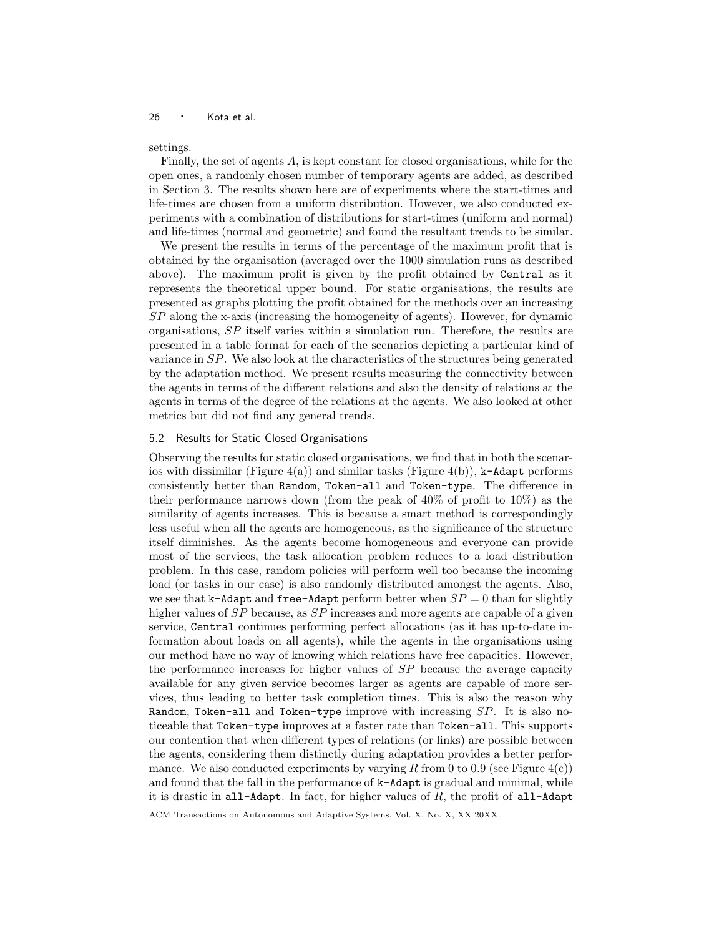settings.

Finally, the set of agents A, is kept constant for closed organisations, while for the open ones, a randomly chosen number of temporary agents are added, as described in Section 3. The results shown here are of experiments where the start-times and life-times are chosen from a uniform distribution. However, we also conducted experiments with a combination of distributions for start-times (uniform and normal) and life-times (normal and geometric) and found the resultant trends to be similar.

We present the results in terms of the percentage of the maximum profit that is obtained by the organisation (averaged over the 1000 simulation runs as described above). The maximum profit is given by the profit obtained by Central as it represents the theoretical upper bound. For static organisations, the results are presented as graphs plotting the profit obtained for the methods over an increasing SP along the x-axis (increasing the homogeneity of agents). However, for dynamic organisations, SP itself varies within a simulation run. Therefore, the results are presented in a table format for each of the scenarios depicting a particular kind of variance in SP. We also look at the characteristics of the structures being generated by the adaptation method. We present results measuring the connectivity between the agents in terms of the different relations and also the density of relations at the agents in terms of the degree of the relations at the agents. We also looked at other metrics but did not find any general trends.

#### 5.2 Results for Static Closed Organisations

Observing the results for static closed organisations, we find that in both the scenarios with dissimilar (Figure 4(a)) and similar tasks (Figure 4(b)),  $k$ -Adapt performs consistently better than Random, Token-all and Token-type. The difference in their performance narrows down (from the peak of 40% of profit to 10%) as the similarity of agents increases. This is because a smart method is correspondingly less useful when all the agents are homogeneous, as the significance of the structure itself diminishes. As the agents become homogeneous and everyone can provide most of the services, the task allocation problem reduces to a load distribution problem. In this case, random policies will perform well too because the incoming load (or tasks in our case) is also randomly distributed amongst the agents. Also, we see that k-Adapt and free-Adapt perform better when  $SP = 0$  than for slightly higher values of  $SP$  because, as  $SP$  increases and more agents are capable of a given service, Central continues performing perfect allocations (as it has up-to-date information about loads on all agents), while the agents in the organisations using our method have no way of knowing which relations have free capacities. However, the performance increases for higher values of SP because the average capacity available for any given service becomes larger as agents are capable of more services, thus leading to better task completion times. This is also the reason why Random, Token-all and Token-type improve with increasing  $SP$ . It is also noticeable that Token-type improves at a faster rate than Token-all. This supports our contention that when different types of relations (or links) are possible between the agents, considering them distinctly during adaptation provides a better performance. We also conducted experiments by varying R from 0 to 0.9 (see Figure  $4(c)$ ) and found that the fall in the performance of k-Adapt is gradual and minimal, while it is drastic in  $all$ -Adapt. In fact, for higher values of  $R$ , the profit of  $all$ -Adapt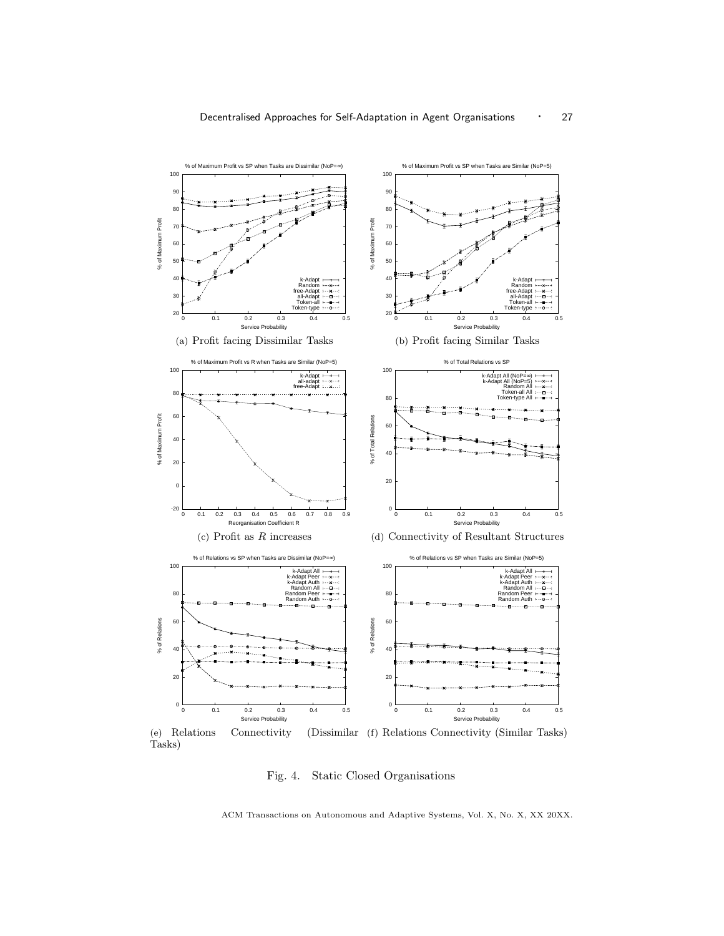

Fig. 4. Static Closed Organisations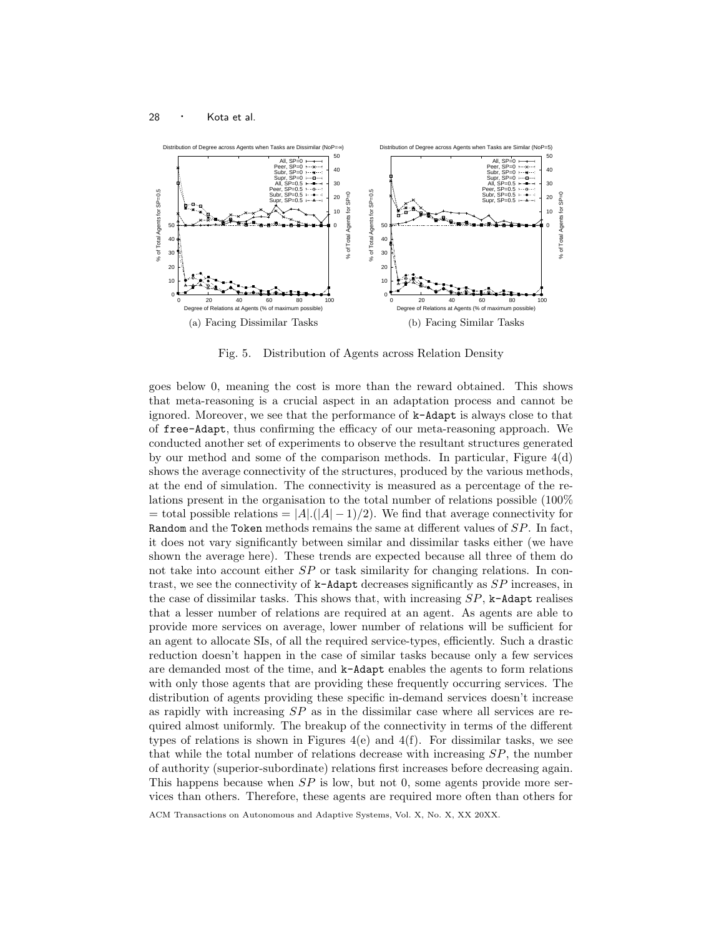

Fig. 5. Distribution of Agents across Relation Density

goes below 0, meaning the cost is more than the reward obtained. This shows that meta-reasoning is a crucial aspect in an adaptation process and cannot be ignored. Moreover, we see that the performance of  $k$ -Adapt is always close to that of free-Adapt, thus confirming the efficacy of our meta-reasoning approach. We conducted another set of experiments to observe the resultant structures generated by our method and some of the comparison methods. In particular, Figure 4(d) shows the average connectivity of the structures, produced by the various methods, at the end of simulation. The connectivity is measured as a percentage of the relations present in the organisation to the total number of relations possible (100%  $=$  total possible relations  $= |A| \cdot (|A|-1)/2$ . We find that average connectivity for Random and the Token methods remains the same at different values of  $SP$ . In fact, it does not vary significantly between similar and dissimilar tasks either (we have shown the average here). These trends are expected because all three of them do not take into account either  $SP$  or task similarity for changing relations. In contrast, we see the connectivity of k-Adapt decreases significantly as SP increases, in the case of dissimilar tasks. This shows that, with increasing  $SP$ , k-Adapt realises that a lesser number of relations are required at an agent. As agents are able to provide more services on average, lower number of relations will be sufficient for an agent to allocate SIs, of all the required service-types, efficiently. Such a drastic reduction doesn't happen in the case of similar tasks because only a few services are demanded most of the time, and k-Adapt enables the agents to form relations with only those agents that are providing these frequently occurring services. The distribution of agents providing these specific in-demand services doesn't increase as rapidly with increasing SP as in the dissimilar case where all services are required almost uniformly. The breakup of the connectivity in terms of the different types of relations is shown in Figures  $4(e)$  and  $4(f)$ . For dissimilar tasks, we see that while the total number of relations decrease with increasing SP, the number of authority (superior-subordinate) relations first increases before decreasing again. This happens because when  $SP$  is low, but not 0, some agents provide more services than others. Therefore, these agents are required more often than others for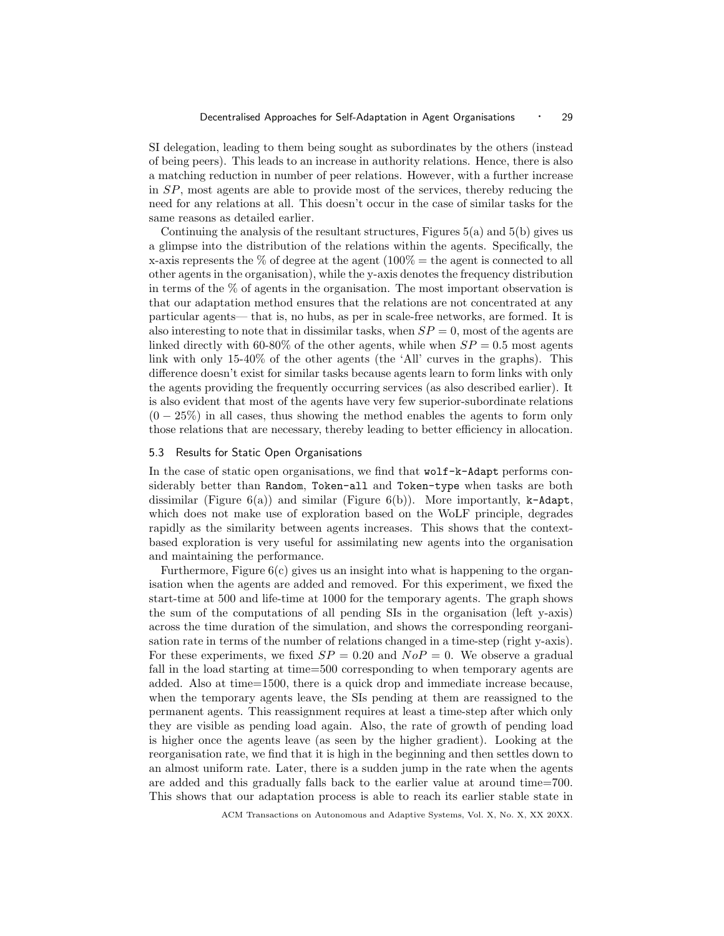SI delegation, leading to them being sought as subordinates by the others (instead of being peers). This leads to an increase in authority relations. Hence, there is also a matching reduction in number of peer relations. However, with a further increase in SP, most agents are able to provide most of the services, thereby reducing the need for any relations at all. This doesn't occur in the case of similar tasks for the same reasons as detailed earlier.

Continuing the analysis of the resultant structures, Figures 5(a) and 5(b) gives us a glimpse into the distribution of the relations within the agents. Specifically, the x-axis represents the  $\%$  of degree at the agent (100 $\%$  = the agent is connected to all other agents in the organisation), while the y-axis denotes the frequency distribution in terms of the % of agents in the organisation. The most important observation is that our adaptation method ensures that the relations are not concentrated at any particular agents— that is, no hubs, as per in scale-free networks, are formed. It is also interesting to note that in dissimilar tasks, when  $SP = 0$ , most of the agents are linked directly with 60-80% of the other agents, while when  $SP = 0.5$  most agents link with only 15-40% of the other agents (the 'All' curves in the graphs). This difference doesn't exist for similar tasks because agents learn to form links with only the agents providing the frequently occurring services (as also described earlier). It is also evident that most of the agents have very few superior-subordinate relations  $(0 - 25\%)$  in all cases, thus showing the method enables the agents to form only those relations that are necessary, thereby leading to better efficiency in allocation.

#### 5.3 Results for Static Open Organisations

In the case of static open organisations, we find that wolf-k-Adapt performs considerably better than Random, Token-all and Token-type when tasks are both dissimilar (Figure 6(a)) and similar (Figure 6(b)). More importantly,  $k-\text{Adapt}$ , which does not make use of exploration based on the WoLF principle, degrades rapidly as the similarity between agents increases. This shows that the contextbased exploration is very useful for assimilating new agents into the organisation and maintaining the performance.

Furthermore, Figure  $6(c)$  gives us an insight into what is happening to the organisation when the agents are added and removed. For this experiment, we fixed the start-time at 500 and life-time at 1000 for the temporary agents. The graph shows the sum of the computations of all pending SIs in the organisation (left y-axis) across the time duration of the simulation, and shows the corresponding reorganisation rate in terms of the number of relations changed in a time-step (right y-axis). For these experiments, we fixed  $SP = 0.20$  and  $NoP = 0$ . We observe a gradual fall in the load starting at time=500 corresponding to when temporary agents are added. Also at time=1500, there is a quick drop and immediate increase because, when the temporary agents leave, the SIs pending at them are reassigned to the permanent agents. This reassignment requires at least a time-step after which only they are visible as pending load again. Also, the rate of growth of pending load is higher once the agents leave (as seen by the higher gradient). Looking at the reorganisation rate, we find that it is high in the beginning and then settles down to an almost uniform rate. Later, there is a sudden jump in the rate when the agents are added and this gradually falls back to the earlier value at around time=700. This shows that our adaptation process is able to reach its earlier stable state in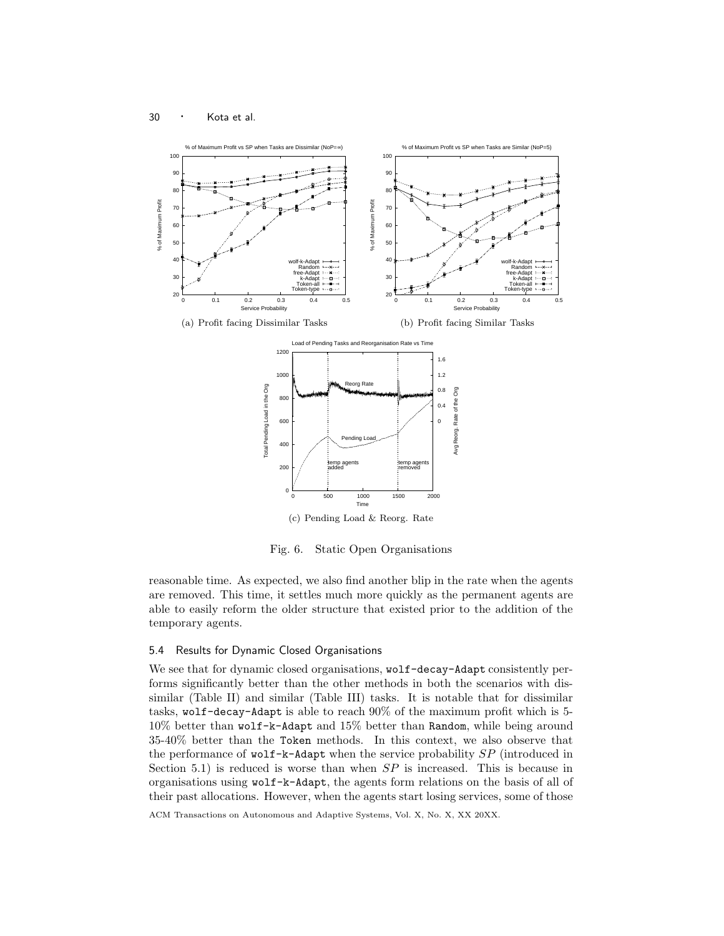



Fig. 6. Static Open Organisations

reasonable time. As expected, we also find another blip in the rate when the agents are removed. This time, it settles much more quickly as the permanent agents are able to easily reform the older structure that existed prior to the addition of the temporary agents.

# 5.4 Results for Dynamic Closed Organisations

We see that for dynamic closed organisations,  $\text{vol}f$ -decay-Adapt consistently performs significantly better than the other methods in both the scenarios with dissimilar (Table II) and similar (Table III) tasks. It is notable that for dissimilar tasks, wolf-decay-Adapt is able to reach 90% of the maximum profit which is 5- 10% better than wolf-k-Adapt and 15% better than Random, while being around 35-40% better than the Token methods. In this context, we also observe that the performance of wolf-k-Adapt when the service probability SP (introduced in Section 5.1) is reduced is worse than when  $SP$  is increased. This is because in organisations using wolf-k-Adapt, the agents form relations on the basis of all of their past allocations. However, when the agents start losing services, some of those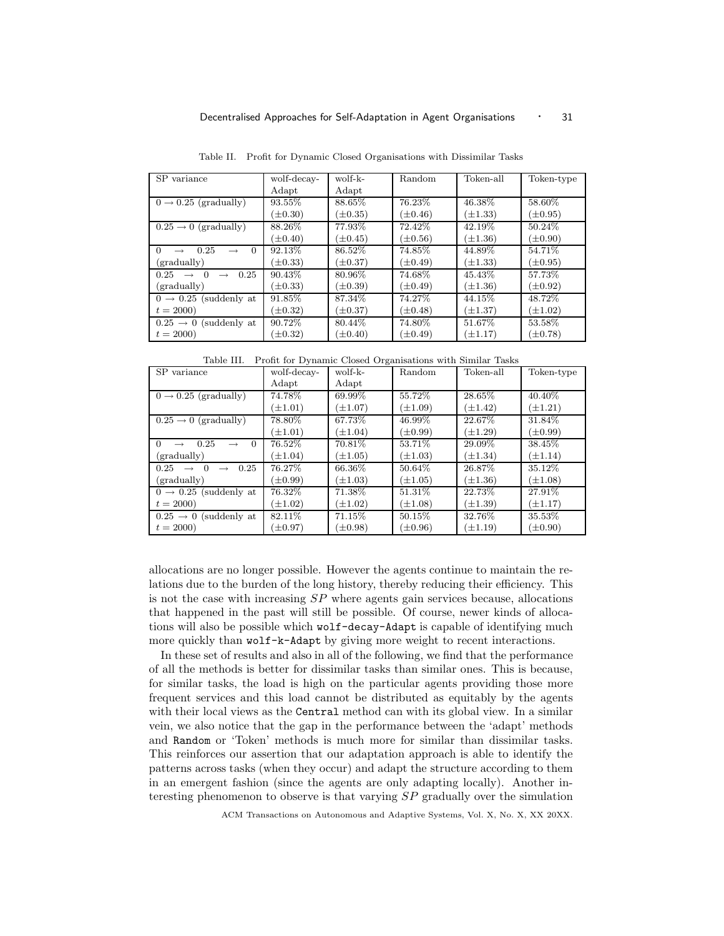| SP variance                                                            | wolf-decay-  | wolf-k-      | Random       | Token-all    | Token-type   |
|------------------------------------------------------------------------|--------------|--------------|--------------|--------------|--------------|
|                                                                        | Adapt        | Adapt        |              |              |              |
| $0 \rightarrow 0.25$ (gradually)                                       | 93.55%       | 88.65%       | 76.23%       | 46.38%       | 58.60%       |
|                                                                        | $(\pm 0.30)$ | $\pm 0.35$   | $(\pm 0.46)$ | $(\pm 1.33)$ | $(\pm 0.95)$ |
| $0.25 \rightarrow 0$ (gradually)                                       | 88.26%       | 77.93%       | 72.42\%      | 42.19%       | 50.24\%      |
|                                                                        | $(\pm 0.40)$ | $(\pm 0.45)$ | $(\pm 0.56)$ | $(\pm 1.36)$ | $(\pm 0.90)$ |
| 0.25<br>$\Omega$<br>$\Omega$<br>$\longrightarrow$<br>$\longrightarrow$ | 92.13%       | 86.52%       | 74.85%       | 44.89%       | 54.71%       |
| (gradually)                                                            | $(\pm 0.33)$ | $\pm 0.37$   | $(\pm 0.49)$ | $(\pm 1.33)$ | $(\pm 0.95)$ |
| $0.25 \rightarrow 0$<br>0.25<br>$\longrightarrow$                      | 90.43\%      | 80.96%       | 74.68%       | 45.43%       | 57.73%       |
| (gradually)                                                            | $(\pm 0.33)$ | $(\pm 0.39)$ | $(\pm 0.49)$ | $(\pm 1.36)$ | $(\pm 0.92)$ |
| $0 \rightarrow 0.25$ (suddenly at                                      | 91.85%       | 87.34%       | 74.27%       | 44.15%       | 48.72\%      |
| $t = 2000$                                                             | $(\pm 0.32)$ | $\pm 0.37$   | $(\pm 0.48)$ | $(\pm 1.37)$ | $(\pm 1.02)$ |
| $0.25 \rightarrow 0$ (suddenly at                                      | 90.72%       | 80.44\%      | 74.80%       | 51.67%       | 53.58%       |
| $t = 2000$                                                             | $(\pm 0.32)$ | $(\pm 0.40)$ | $(\pm 0.49)$ | $(\pm 1.17)$ | $(\pm 0.78)$ |

Table II. Profit for Dynamic Closed Organisations with Dissimilar Tasks

Table III. Profit for Dynamic Closed Organisations with Similar Tasks

| SP variance                                       | wolf-decay-  | wolf-k-      | Random       | Token-all    | Token-type              |
|---------------------------------------------------|--------------|--------------|--------------|--------------|-------------------------|
|                                                   | Adapt        | Adapt        |              |              |                         |
| $0 \rightarrow 0.25$ (gradually)                  | 74.78%       | 69.99%       | 55.72%       | 28.65%       | 40.40\%                 |
|                                                   | $(\pm 1.01)$ | $(\pm 1.07)$ | $(\pm 1.09)$ | $\pm 1.42$   | $(\pm 1.21)$            |
| $0.25 \rightarrow 0$ (gradually)                  | 78.80%       | 67.73%       | 46.99%       | 22.67%       | 31.84\%                 |
|                                                   | $(\pm 1.01)$ | $(\pm 1.04)$ | $(\pm 0.99)$ | $(\pm 1.29)$ | $(\pm 0.99)$            |
| 0.25<br>$\Omega$<br>$\Omega$<br>$\longrightarrow$ | 76.52%       | 70.81\%      | 53.71\%      | 29.09%       | 38.45%                  |
| (gradually)                                       | $(\pm 1.04)$ | $(\pm 1.05)$ | $(\pm 1.03)$ | $(\pm 1.34)$ | $(\pm 1.14)$            |
| 0.25<br>$0.25 \rightarrow 0$<br>$\rightarrow$     | 76.27%       | 66.36\%      | 50.64\%      | 26.87%       | 35.12\%                 |
| $(\text{gradually})$                              | $(\pm 0.99)$ | $(\pm 1.03)$ | $(\pm 1.05)$ | $(\pm 1.36)$ | $(\pm 1.08)$            |
| $0 \rightarrow 0.25$ (suddenly at                 | 76.32\%      | 71.38%       | 51.31\%      | 22.73%       | 27.91%                  |
| $t = 2000$                                        | $(\pm 1.02)$ | $(\pm 1.02)$ | $(\pm 1.08)$ | $(\pm 1.39)$ | $(\pm 1.17)$            |
| $0.25 \rightarrow 0$ (suddenly at                 | 82.11\%      | 71.15%       | 50.15%       | 32.76%       | 35.53%                  |
| $t = 2000$                                        | $(\pm 0.97)$ | $\pm 0.98$   | $(\pm 0.96)$ | $\pm 1.19$   | $\left(\pm 0.90\right)$ |

allocations are no longer possible. However the agents continue to maintain the relations due to the burden of the long history, thereby reducing their efficiency. This is not the case with increasing  $SP$  where agents gain services because, allocations that happened in the past will still be possible. Of course, newer kinds of allocations will also be possible which wolf-decay-Adapt is capable of identifying much more quickly than wolf-k-Adapt by giving more weight to recent interactions.

In these set of results and also in all of the following, we find that the performance of all the methods is better for dissimilar tasks than similar ones. This is because, for similar tasks, the load is high on the particular agents providing those more frequent services and this load cannot be distributed as equitably by the agents with their local views as the Central method can with its global view. In a similar vein, we also notice that the gap in the performance between the 'adapt' methods and Random or 'Token' methods is much more for similar than dissimilar tasks. This reinforces our assertion that our adaptation approach is able to identify the patterns across tasks (when they occur) and adapt the structure according to them in an emergent fashion (since the agents are only adapting locally). Another interesting phenomenon to observe is that varying SP gradually over the simulation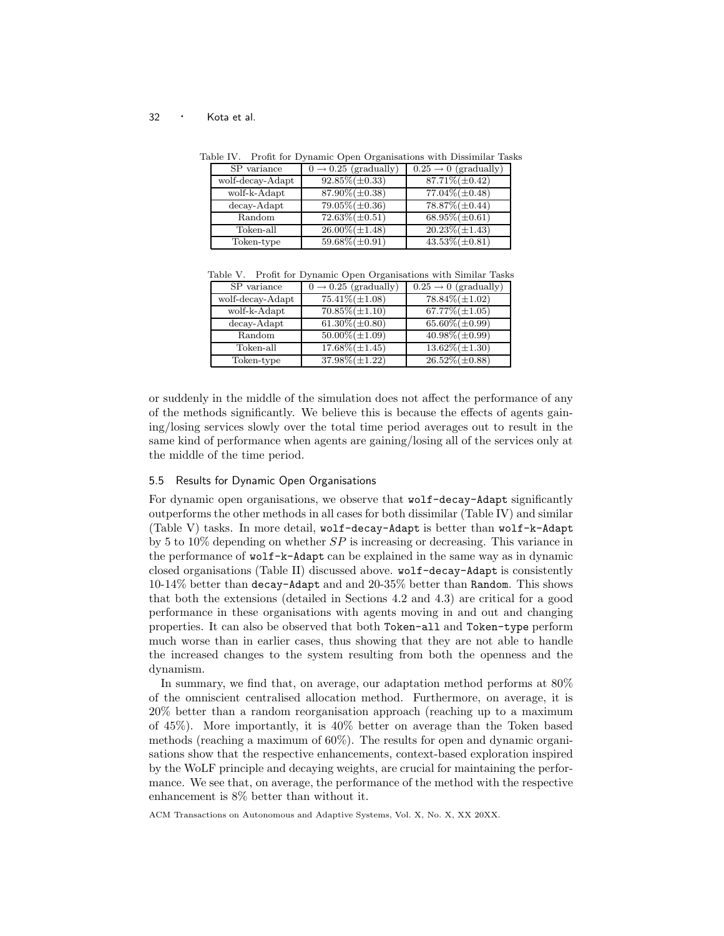| SP variance      | $0 \rightarrow 0.25$ (gradually) | $0.25 \rightarrow 0$ (gradually) |
|------------------|----------------------------------|----------------------------------|
| wolf-decay-Adapt | $92.85\%(\pm0.33)$               | $87.71\%(\pm 0.42)$              |
| wolf-k-Adapt     | $87.90\%(\pm 0.38)$              | $77.04\%(\pm0.48)$               |
| $decay-Adapt$    | $79.05\%(\pm0.36)$               | $78.87\%(\pm 0.44)$              |
| Random           | $72.63\%(\pm0.51)$               | 68.95% $(\pm 0.61)$              |
| Token-all        | $26.00\%(\pm1.48)$               | $20.23\%(\pm 1.43)$              |
| Token-type       | $59.68\%(\pm0.91)$               | $43.53\%(\pm0.81)$               |

Table IV. Profit for Dynamic Open Organisations with Dissimilar Tasks

Table V. Profit for Dynamic Open Organisations with Similar Tasks

| SP variance      | $0 \rightarrow 0.25$ (gradually) | $0.25 \rightarrow 0$ (gradually) |
|------------------|----------------------------------|----------------------------------|
| wolf-decay-Adapt | $75.41\%(\pm1.08)$               | $78.84\%(\pm1.02)$               |
| wolf-k-Adapt     | $70.85\%(\pm1.10)$               | $67.77\%(\pm1.05)$               |
| $decay-Adapt$    | $61.30\%(\pm0.80)$               | $65.60\%(\pm0.99)$               |
| Random           | $50.00\%(\pm1.09)$               | $40.98\%(\pm0.99)$               |
| Token-all        | $17.68\%(\pm1.45)$               | $13.62\%(\pm1.30)$               |
| Token-type       | $37.98\%(\pm1.22)$               | $26.52\%(\pm 0.88)$              |

or suddenly in the middle of the simulation does not affect the performance of any of the methods significantly. We believe this is because the effects of agents gaining/losing services slowly over the total time period averages out to result in the same kind of performance when agents are gaining/losing all of the services only at the middle of the time period.

# 5.5 Results for Dynamic Open Organisations

For dynamic open organisations, we observe that wolf-decay-Adapt significantly outperforms the other methods in all cases for both dissimilar (Table IV) and similar (Table V) tasks. In more detail, wolf-decay-Adapt is better than wolf-k-Adapt by 5 to 10% depending on whether  $SP$  is increasing or decreasing. This variance in the performance of wolf-k-Adapt can be explained in the same way as in dynamic closed organisations (Table II) discussed above. wolf-decay-Adapt is consistently 10-14% better than decay-Adapt and and 20-35% better than Random. This shows that both the extensions (detailed in Sections 4.2 and 4.3) are critical for a good performance in these organisations with agents moving in and out and changing properties. It can also be observed that both Token-all and Token-type perform much worse than in earlier cases, thus showing that they are not able to handle the increased changes to the system resulting from both the openness and the dynamism.

In summary, we find that, on average, our adaptation method performs at 80% of the omniscient centralised allocation method. Furthermore, on average, it is 20% better than a random reorganisation approach (reaching up to a maximum of 45%). More importantly, it is 40% better on average than the Token based methods (reaching a maximum of 60%). The results for open and dynamic organisations show that the respective enhancements, context-based exploration inspired by the WoLF principle and decaying weights, are crucial for maintaining the performance. We see that, on average, the performance of the method with the respective enhancement is 8% better than without it.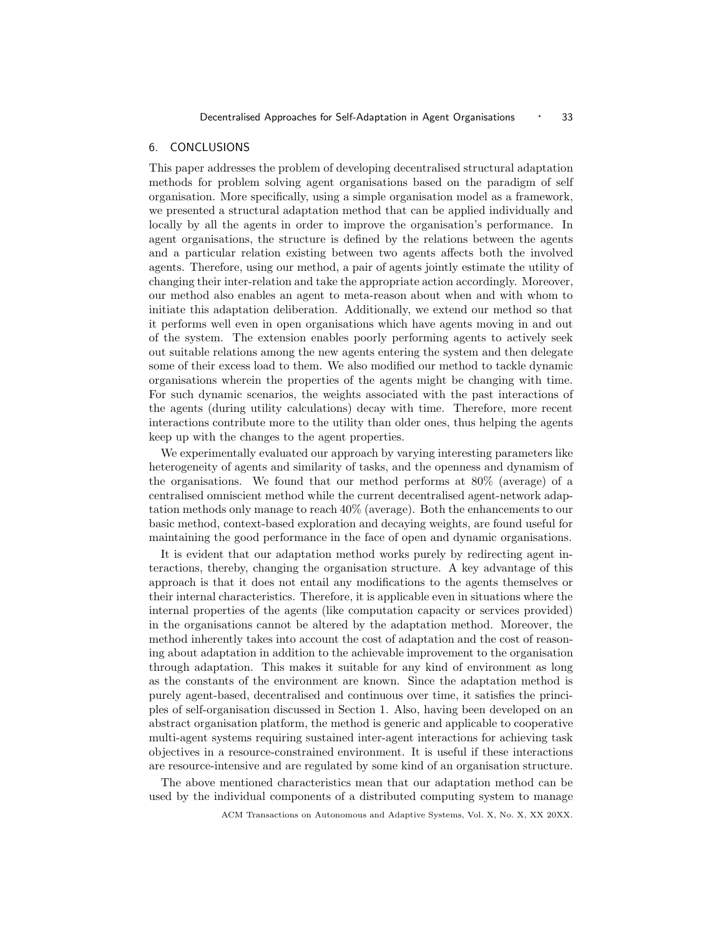#### 6. CONCLUSIONS

This paper addresses the problem of developing decentralised structural adaptation methods for problem solving agent organisations based on the paradigm of self organisation. More specifically, using a simple organisation model as a framework, we presented a structural adaptation method that can be applied individually and locally by all the agents in order to improve the organisation's performance. In agent organisations, the structure is defined by the relations between the agents and a particular relation existing between two agents affects both the involved agents. Therefore, using our method, a pair of agents jointly estimate the utility of changing their inter-relation and take the appropriate action accordingly. Moreover, our method also enables an agent to meta-reason about when and with whom to initiate this adaptation deliberation. Additionally, we extend our method so that it performs well even in open organisations which have agents moving in and out of the system. The extension enables poorly performing agents to actively seek out suitable relations among the new agents entering the system and then delegate some of their excess load to them. We also modified our method to tackle dynamic organisations wherein the properties of the agents might be changing with time. For such dynamic scenarios, the weights associated with the past interactions of the agents (during utility calculations) decay with time. Therefore, more recent interactions contribute more to the utility than older ones, thus helping the agents keep up with the changes to the agent properties.

We experimentally evaluated our approach by varying interesting parameters like heterogeneity of agents and similarity of tasks, and the openness and dynamism of the organisations. We found that our method performs at 80% (average) of a centralised omniscient method while the current decentralised agent-network adaptation methods only manage to reach 40% (average). Both the enhancements to our basic method, context-based exploration and decaying weights, are found useful for maintaining the good performance in the face of open and dynamic organisations.

It is evident that our adaptation method works purely by redirecting agent interactions, thereby, changing the organisation structure. A key advantage of this approach is that it does not entail any modifications to the agents themselves or their internal characteristics. Therefore, it is applicable even in situations where the internal properties of the agents (like computation capacity or services provided) in the organisations cannot be altered by the adaptation method. Moreover, the method inherently takes into account the cost of adaptation and the cost of reasoning about adaptation in addition to the achievable improvement to the organisation through adaptation. This makes it suitable for any kind of environment as long as the constants of the environment are known. Since the adaptation method is purely agent-based, decentralised and continuous over time, it satisfies the principles of self-organisation discussed in Section 1. Also, having been developed on an abstract organisation platform, the method is generic and applicable to cooperative multi-agent systems requiring sustained inter-agent interactions for achieving task objectives in a resource-constrained environment. It is useful if these interactions are resource-intensive and are regulated by some kind of an organisation structure.

The above mentioned characteristics mean that our adaptation method can be used by the individual components of a distributed computing system to manage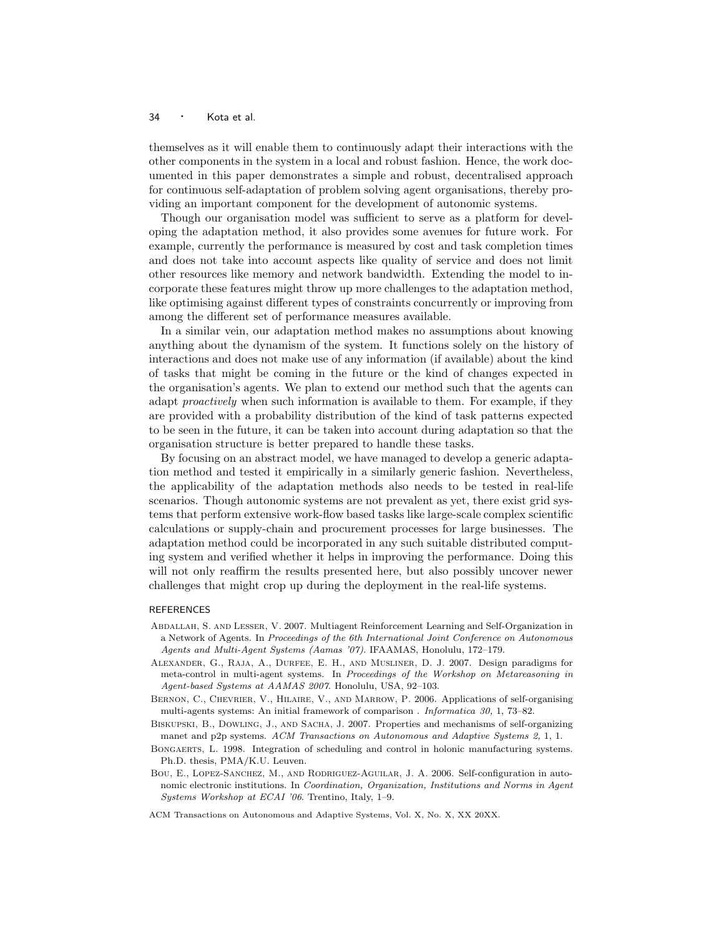themselves as it will enable them to continuously adapt their interactions with the other components in the system in a local and robust fashion. Hence, the work documented in this paper demonstrates a simple and robust, decentralised approach for continuous self-adaptation of problem solving agent organisations, thereby providing an important component for the development of autonomic systems.

Though our organisation model was sufficient to serve as a platform for developing the adaptation method, it also provides some avenues for future work. For example, currently the performance is measured by cost and task completion times and does not take into account aspects like quality of service and does not limit other resources like memory and network bandwidth. Extending the model to incorporate these features might throw up more challenges to the adaptation method, like optimising against different types of constraints concurrently or improving from among the different set of performance measures available.

In a similar vein, our adaptation method makes no assumptions about knowing anything about the dynamism of the system. It functions solely on the history of interactions and does not make use of any information (if available) about the kind of tasks that might be coming in the future or the kind of changes expected in the organisation's agents. We plan to extend our method such that the agents can adapt proactively when such information is available to them. For example, if they are provided with a probability distribution of the kind of task patterns expected to be seen in the future, it can be taken into account during adaptation so that the organisation structure is better prepared to handle these tasks.

By focusing on an abstract model, we have managed to develop a generic adaptation method and tested it empirically in a similarly generic fashion. Nevertheless, the applicability of the adaptation methods also needs to be tested in real-life scenarios. Though autonomic systems are not prevalent as yet, there exist grid systems that perform extensive work-flow based tasks like large-scale complex scientific calculations or supply-chain and procurement processes for large businesses. The adaptation method could be incorporated in any such suitable distributed computing system and verified whether it helps in improving the performance. Doing this will not only reaffirm the results presented here, but also possibly uncover newer challenges that might crop up during the deployment in the real-life systems.

# REFERENCES

- Abdallah, S. and Lesser, V. 2007. Multiagent Reinforcement Learning and Self-Organization in a Network of Agents. In *Proceedings of the 6th International Joint Conference on Autonomous Agents and Multi-Agent Systems (Aamas '07)*. IFAAMAS, Honolulu, 172–179.
- Alexander, G., Raja, A., Durfee, E. H., and Musliner, D. J. 2007. Design paradigms for meta-control in multi-agent systems. In *Proceedings of the Workshop on Metareasoning in Agent-based Systems at AAMAS 2007*. Honolulu, USA, 92–103.
- BERNON, C., CHEVRIER, V., HILAIRE, V., AND MARROW, P. 2006. Applications of self-organising multi-agents systems: An initial framework of comparison . *Informatica 30,* 1, 73–82.
- Biskupski, B., Dowling, J., and Sacha, J. 2007. Properties and mechanisms of self-organizing manet and p2p systems. *ACM Transactions on Autonomous and Adaptive Systems 2,* 1, 1.
- BONGAERTS, L. 1998. Integration of scheduling and control in holonic manufacturing systems. Ph.D. thesis, PMA/K.U. Leuven.
- Bou, E., Lopez-Sanchez, M., and Rodriguez-Aguilar, J. A. 2006. Self-configuration in autonomic electronic institutions. In *Coordination, Organization, Institutions and Norms in Agent Systems Workshop at ECAI '06*. Trentino, Italy, 1–9.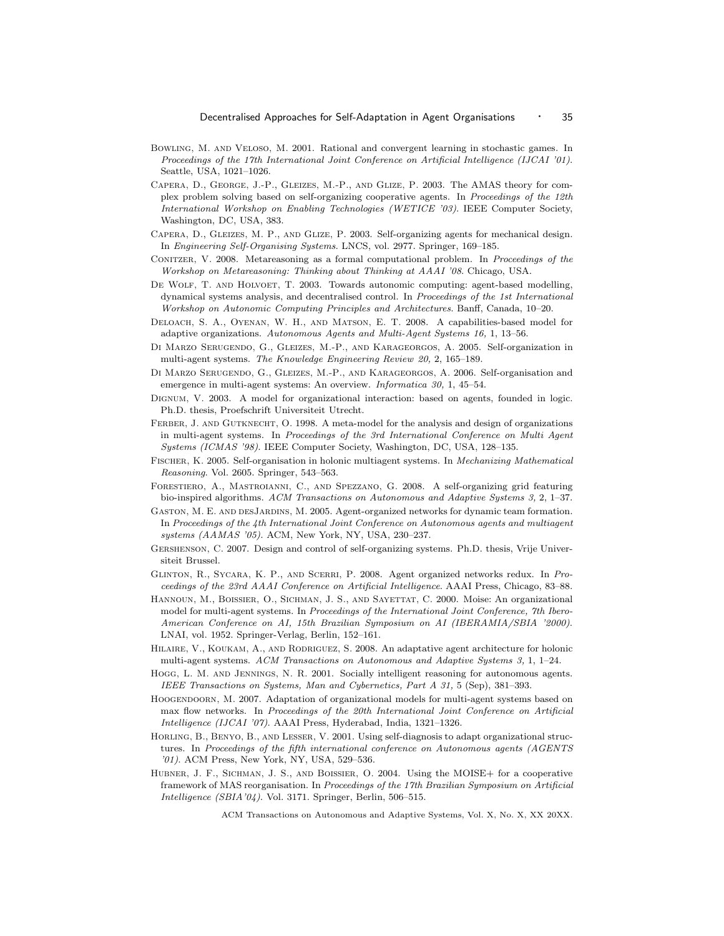- Bowling, M. and Veloso, M. 2001. Rational and convergent learning in stochastic games. In *Proceedings of the 17th International Joint Conference on Artificial Intelligence (IJCAI '01)*. Seattle, USA, 1021–1026.
- Capera, D., George, J.-P., Gleizes, M.-P., and Glize, P. 2003. The AMAS theory for complex problem solving based on self-organizing cooperative agents. In *Proceedings of the 12th International Workshop on Enabling Technologies (WETICE '03)*. IEEE Computer Society, Washington, DC, USA, 383.
- Capera, D., Gleizes, M. P., and Glize, P. 2003. Self-organizing agents for mechanical design. In *Engineering Self-Organising Systems*. LNCS, vol. 2977. Springer, 169–185.
- Conitzer, V. 2008. Metareasoning as a formal computational problem. In *Proceedings of the Workshop on Metareasoning: Thinking about Thinking at AAAI '08*. Chicago, USA.
- DE WOLF, T. AND HOLVOET, T. 2003. Towards autonomic computing: agent-based modelling, dynamical systems analysis, and decentralised control. In *Proceedings of the 1st International Workshop on Autonomic Computing Principles and Architectures*. Banff, Canada, 10–20.
- DELOACH, S. A., OYENAN, W. H., AND MATSON, E. T. 2008. A capabilities-based model for adaptive organizations. *Autonomous Agents and Multi-Agent Systems 16,* 1, 13–56.
- Di Marzo Serugendo, G., Gleizes, M.-P., and Karageorgos, A. 2005. Self-organization in multi-agent systems. *The Knowledge Engineering Review 20,* 2, 165–189.
- Di Marzo Serugendo, G., Gleizes, M.-P., and Karageorgos, A. 2006. Self-organisation and emergence in multi-agent systems: An overview. *Informatica 30,* 1, 45–54.
- Dignum, V. 2003. A model for organizational interaction: based on agents, founded in logic. Ph.D. thesis, Proefschrift Universiteit Utrecht.
- FERBER, J. AND GUTKNECHT, O. 1998. A meta-model for the analysis and design of organizations in multi-agent systems. In *Proceedings of the 3rd International Conference on Multi Agent Systems (ICMAS '98)*. IEEE Computer Society, Washington, DC, USA, 128–135.
- Fischer, K. 2005. Self-organisation in holonic multiagent systems. In *Mechanizing Mathematical Reasoning*. Vol. 2605. Springer, 543–563.
- Forestiero, A., Mastroianni, C., and Spezzano, G. 2008. A self-organizing grid featuring bio-inspired algorithms. *ACM Transactions on Autonomous and Adaptive Systems 3,* 2, 1–37.
- GASTON, M. E. AND DESJARDINS, M. 2005. Agent-organized networks for dynamic team formation. In *Proceedings of the 4th International Joint Conference on Autonomous agents and multiagent systems (AAMAS '05)*. ACM, New York, NY, USA, 230–237.
- Gershenson, C. 2007. Design and control of self-organizing systems. Ph.D. thesis, Vrije Universiteit Brussel.
- Glinton, R., Sycara, K. P., and Scerri, P. 2008. Agent organized networks redux. In *Proceedings of the 23rd AAAI Conference on Artificial Intelligence*. AAAI Press, Chicago, 83–88.
- Hannoun, M., Boissier, O., Sichman, J. S., and Sayettat, C. 2000. Moise: An organizational model for multi-agent systems. In *Proceedings of the International Joint Conference, 7th Ibero-American Conference on AI, 15th Brazilian Symposium on AI (IBERAMIA/SBIA '2000)*. LNAI, vol. 1952. Springer-Verlag, Berlin, 152–161.
- HILAIRE, V., KOUKAM, A., AND RODRIGUEZ, S. 2008. An adaptative agent architecture for holonic multi-agent systems. *ACM Transactions on Autonomous and Adaptive Systems 3,* 1, 1–24.
- Hogg, L. M. and Jennings, N. R. 2001. Socially intelligent reasoning for autonomous agents. *IEEE Transactions on Systems, Man and Cybernetics, Part A 31,* 5 (Sep), 381–393.
- HOOGENDOORN, M. 2007. Adaptation of organizational models for multi-agent systems based on max flow networks. In *Proceedings of the 20th International Joint Conference on Artificial Intelligence (IJCAI '07)*. AAAI Press, Hyderabad, India, 1321–1326.
- Horling, B., Benyo, B., and Lesser, V. 2001. Using self-diagnosis to adapt organizational structures. In *Proceedings of the fifth international conference on Autonomous agents (AGENTS '01)*. ACM Press, New York, NY, USA, 529–536.
- HUBNER, J. F., SICHMAN, J. S., AND BOISSIER, O. 2004. Using the MOISE+ for a cooperative framework of MAS reorganisation. In *Proceedings of the 17th Brazilian Symposium on Artificial Intelligence (SBIA'04)*. Vol. 3171. Springer, Berlin, 506–515.